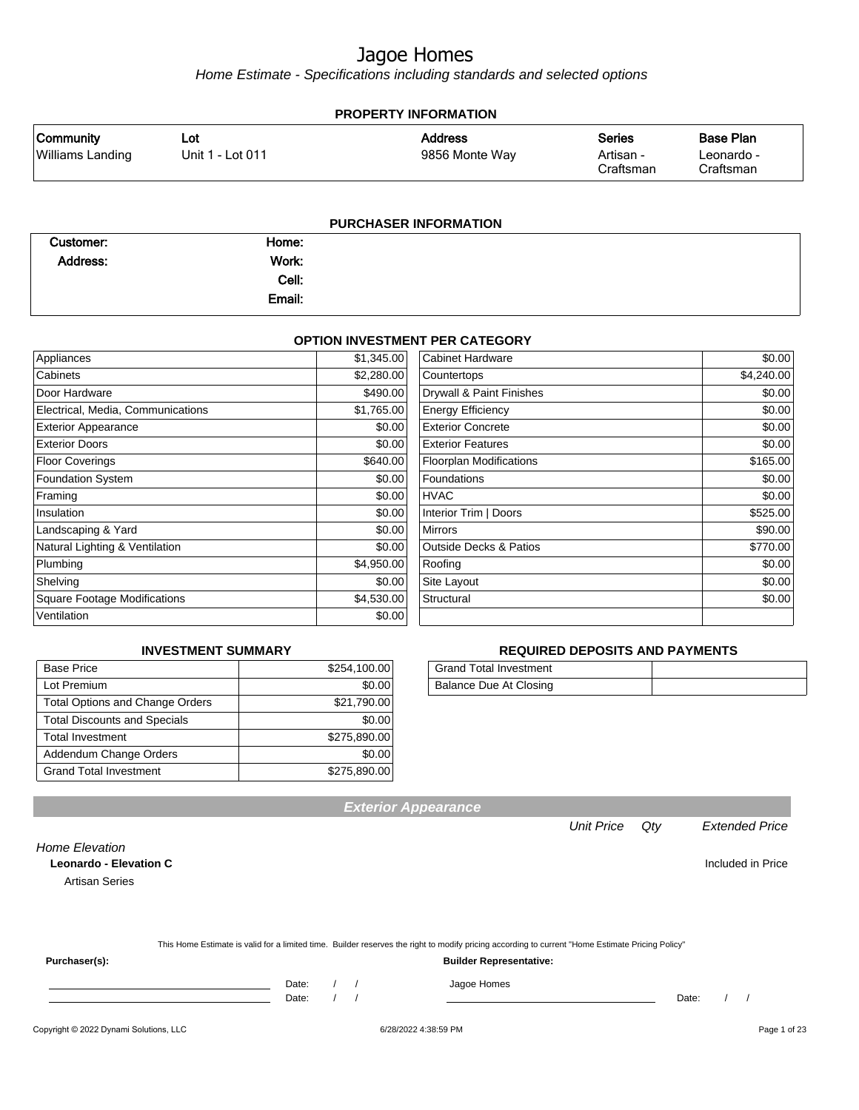Home Estimate - Specifications including standards and selected options

| <b>PROPERTY INFORMATION</b><br><b>Base Plan</b><br><b>Community</b><br><b>Address</b><br><b>Series</b><br>Lot      |  |  |  |  |  |  |
|--------------------------------------------------------------------------------------------------------------------|--|--|--|--|--|--|
| <b>Williams Landing</b><br>9856 Monte Way<br>Unit 1 - Lot 011<br>Artisan -<br>Leonardo -<br>Craftsman<br>Craftsman |  |  |  |  |  |  |

| Customer:       | Home:  |  |
|-----------------|--------|--|
| <b>Address:</b> | Work:  |  |
|                 | Cell:  |  |
|                 | Email: |  |

#### **OPTION INVESTMENT PER CATEGORY**

| Appliances                          | \$1,345.00 | Cabinet Hardware                  | \$0.00     |
|-------------------------------------|------------|-----------------------------------|------------|
| Cabinets                            | \$2,280.00 | Countertops                       | \$4,240.00 |
| Door Hardware                       | \$490.00   | Drywall & Paint Finishes          | \$0.00     |
| Electrical, Media, Communications   | \$1,765.00 | <b>Energy Efficiency</b>          | \$0.00     |
| <b>Exterior Appearance</b>          | \$0.00     | <b>Exterior Concrete</b>          | \$0.00     |
| <b>Exterior Doors</b>               | \$0.00     | <b>Exterior Features</b>          | \$0.00     |
| <b>Floor Coverings</b>              | \$640.00   | <b>Floorplan Modifications</b>    | \$165.00   |
| Foundation System                   | \$0.00     | Foundations                       | \$0.00     |
| Framing                             | \$0.00     | <b>HVAC</b>                       | \$0.00     |
| Insulation                          | \$0.00     | Interior Trim   Doors             | \$525.00   |
| Landscaping & Yard                  | \$0.00     | <b>Mirrors</b>                    | \$90.00    |
| Natural Lighting & Ventilation      | \$0.00     | <b>Outside Decks &amp; Patios</b> | \$770.00   |
| Plumbing                            | \$4,950.00 | Roofing                           | \$0.00     |
| Shelving                            | \$0.00     | Site Layout                       | \$0.00     |
| <b>Square Footage Modifications</b> | \$4,530.00 | Structural                        | \$0.00     |
| Ventilation                         | \$0.00     |                                   |            |

#### **INVESTMENT SUMMARY**

| <b>Base Price</b>                      | \$254,100.00 |
|----------------------------------------|--------------|
| Lot Premium                            | \$0.00       |
| <b>Total Options and Change Orders</b> | \$21,790.00  |
| <b>Total Discounts and Specials</b>    | \$0.00       |
| <b>Total Investment</b>                | \$275,890.00 |
| Addendum Change Orders                 | \$0.00       |
| <b>Grand Total Investment</b>          | \$275,890.00 |

#### **REQUIRED DEPOSITS AND PAYMENTS**

| <b>Grand Total Investment</b> |  |
|-------------------------------|--|
| Balance Due At Closing        |  |

Home Elevation

**Leonardo - Elevation C Included in Price** 

Artisan Series

|  | This Home Estimate is valid for a limited time. Builder reserves the right to modify pricing according to current "Home Estimate Pricing Policy" |
|--|--------------------------------------------------------------------------------------------------------------------------------------------------|
|--|--------------------------------------------------------------------------------------------------------------------------------------------------|

**Exterior Appearance**

**Purchaser(s): Builder Representative:**

Date: / / Jagoe Homes<br>Date: / / Jagoe Homes

Date: / / Date: / /

Unit Price Qty Extended Price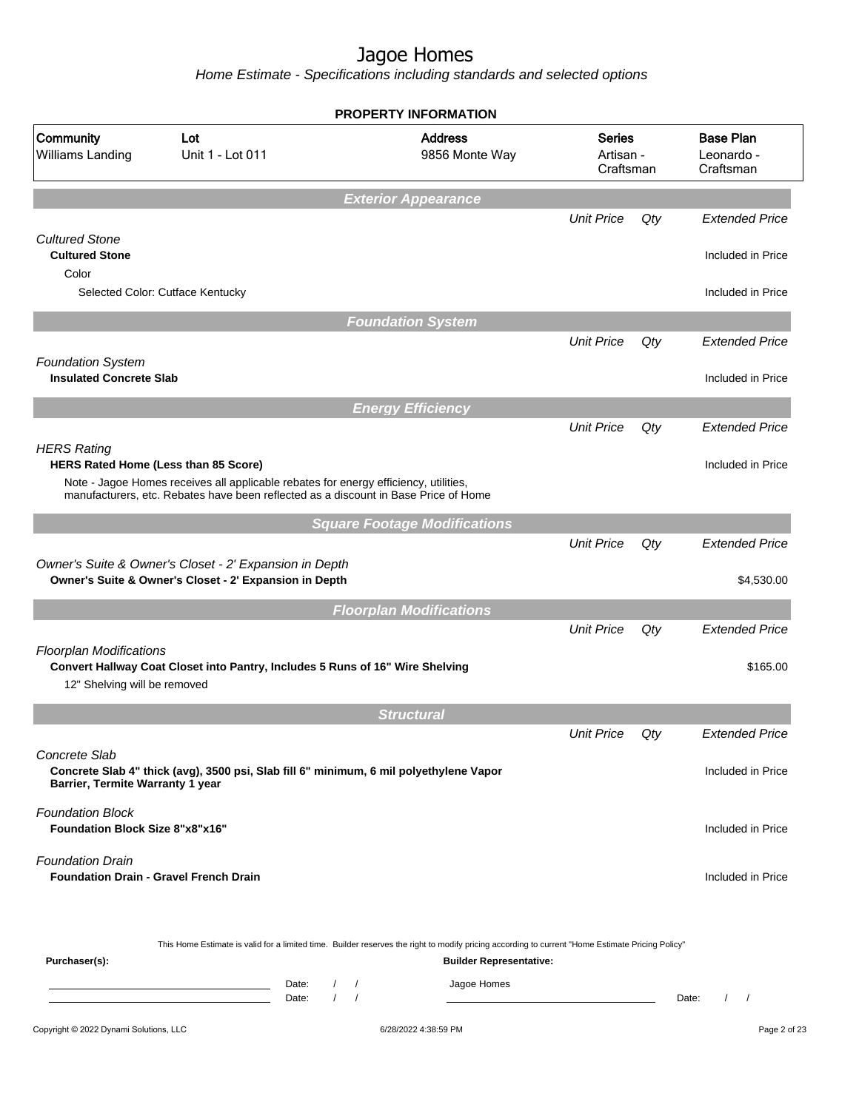|                                                                   |                                                                                                                                                                             | <b>PROPERTY INFORMATION</b>                                                                                                                                                                                           |                                         |     |                                             |
|-------------------------------------------------------------------|-----------------------------------------------------------------------------------------------------------------------------------------------------------------------------|-----------------------------------------------------------------------------------------------------------------------------------------------------------------------------------------------------------------------|-----------------------------------------|-----|---------------------------------------------|
| Community<br>Williams Landing                                     | Lot<br>Unit 1 - Lot 011                                                                                                                                                     | <b>Address</b><br>9856 Monte Way                                                                                                                                                                                      | <b>Series</b><br>Artisan -<br>Craftsman |     | <b>Base Plan</b><br>Leonardo -<br>Craftsman |
|                                                                   |                                                                                                                                                                             | <b>Exterior Appearance</b>                                                                                                                                                                                            |                                         |     |                                             |
|                                                                   |                                                                                                                                                                             |                                                                                                                                                                                                                       | <b>Unit Price</b>                       | Qty | <b>Extended Price</b>                       |
| <b>Cultured Stone</b><br><b>Cultured Stone</b>                    |                                                                                                                                                                             |                                                                                                                                                                                                                       |                                         |     | Included in Price                           |
| Color                                                             |                                                                                                                                                                             |                                                                                                                                                                                                                       |                                         |     |                                             |
|                                                                   | Selected Color: Cutface Kentucky                                                                                                                                            |                                                                                                                                                                                                                       |                                         |     | Included in Price                           |
|                                                                   |                                                                                                                                                                             | <b>Foundation System</b>                                                                                                                                                                                              |                                         |     |                                             |
|                                                                   |                                                                                                                                                                             |                                                                                                                                                                                                                       | <b>Unit Price</b>                       | Qty | <b>Extended Price</b>                       |
| <b>Foundation System</b>                                          |                                                                                                                                                                             |                                                                                                                                                                                                                       |                                         |     |                                             |
| <b>Insulated Concrete Slab</b>                                    |                                                                                                                                                                             |                                                                                                                                                                                                                       |                                         |     | Included in Price                           |
|                                                                   |                                                                                                                                                                             | <b>Energy Efficiency</b>                                                                                                                                                                                              |                                         |     |                                             |
| <b>HERS Rating</b>                                                |                                                                                                                                                                             |                                                                                                                                                                                                                       | <b>Unit Price</b>                       | Qty | <b>Extended Price</b>                       |
|                                                                   | <b>HERS Rated Home (Less than 85 Score)</b>                                                                                                                                 |                                                                                                                                                                                                                       |                                         |     | Included in Price                           |
|                                                                   | Note - Jagoe Homes receives all applicable rebates for energy efficiency, utilities,<br>manufacturers, etc. Rebates have been reflected as a discount in Base Price of Home |                                                                                                                                                                                                                       |                                         |     |                                             |
|                                                                   |                                                                                                                                                                             |                                                                                                                                                                                                                       |                                         |     |                                             |
|                                                                   |                                                                                                                                                                             | <b>Square Footage Modifications</b>                                                                                                                                                                                   | <b>Unit Price</b>                       | Qty | <b>Extended Price</b>                       |
|                                                                   | Owner's Suite & Owner's Closet - 2' Expansion in Depth                                                                                                                      |                                                                                                                                                                                                                       |                                         |     |                                             |
|                                                                   | Owner's Suite & Owner's Closet - 2' Expansion in Depth                                                                                                                      |                                                                                                                                                                                                                       |                                         |     | \$4,530.00                                  |
|                                                                   |                                                                                                                                                                             | <b>Floorplan Modifications</b>                                                                                                                                                                                        |                                         |     |                                             |
|                                                                   |                                                                                                                                                                             |                                                                                                                                                                                                                       | <b>Unit Price</b>                       | Qty | <b>Extended Price</b>                       |
| <b>Floorplan Modifications</b><br>12" Shelving will be removed    | Convert Hallway Coat Closet into Pantry, Includes 5 Runs of 16" Wire Shelving                                                                                               |                                                                                                                                                                                                                       |                                         |     | \$165.00                                    |
|                                                                   |                                                                                                                                                                             | <b>Structural</b>                                                                                                                                                                                                     |                                         |     |                                             |
|                                                                   |                                                                                                                                                                             |                                                                                                                                                                                                                       | <b>Unit Price</b>                       | Qty | <b>Extended Price</b>                       |
| Concrete Slab                                                     |                                                                                                                                                                             |                                                                                                                                                                                                                       |                                         |     |                                             |
| Barrier, Termite Warranty 1 year                                  | Concrete Slab 4" thick (avg), 3500 psi, Slab fill 6" minimum, 6 mil polyethylene Vapor                                                                                      |                                                                                                                                                                                                                       |                                         |     | Included in Price                           |
| <b>Foundation Block</b><br><b>Foundation Block Size 8"x8"x16"</b> |                                                                                                                                                                             |                                                                                                                                                                                                                       |                                         |     | Included in Price                           |
| <b>Foundation Drain</b>                                           | <b>Foundation Drain - Gravel French Drain</b>                                                                                                                               |                                                                                                                                                                                                                       |                                         |     | Included in Price                           |
| Purchaser(s):                                                     | Date:<br>the control of the control of the control of the control of                                                                                                        | This Home Estimate is valid for a limited time. Builder reserves the right to modify pricing according to current "Home Estimate Pricing Policy"<br><b>Builder Representative:</b><br>Jagoe Homes<br>$\left  \right $ |                                         |     |                                             |
|                                                                   | $\sqrt{ }$<br>Date:                                                                                                                                                         | $\sqrt{ }$                                                                                                                                                                                                            |                                         |     | $\sqrt{ }$<br>Date:<br>$\prime$             |
| Copyright © 2022 Dynami Solutions, LLC                            |                                                                                                                                                                             | 6/28/2022 4:38:59 PM                                                                                                                                                                                                  |                                         |     | Page 2 of 23                                |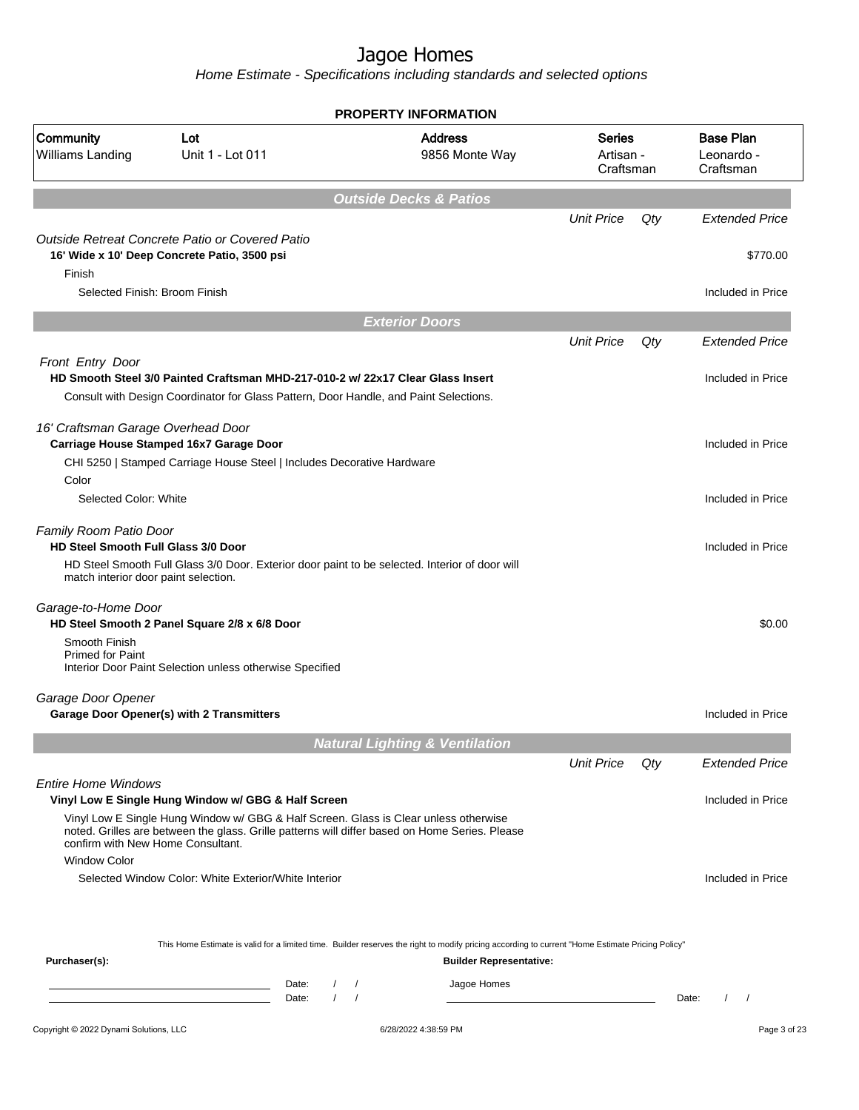|                                                                                    |                                                                                                                                                                                        | <b>PROPERTY INFORMATION</b>       |                                           |                                         |     |                                             |
|------------------------------------------------------------------------------------|----------------------------------------------------------------------------------------------------------------------------------------------------------------------------------------|-----------------------------------|-------------------------------------------|-----------------------------------------|-----|---------------------------------------------|
| Community<br>Williams Landing                                                      | Lot<br>Unit 1 - Lot 011                                                                                                                                                                |                                   | <b>Address</b><br>9856 Monte Way          | <b>Series</b><br>Artisan -<br>Craftsman |     | <b>Base Plan</b><br>Leonardo -<br>Craftsman |
|                                                                                    |                                                                                                                                                                                        | <b>Outside Decks &amp; Patios</b> |                                           |                                         |     |                                             |
|                                                                                    |                                                                                                                                                                                        |                                   |                                           | <b>Unit Price</b>                       | Qty | <b>Extended Price</b>                       |
| Finish                                                                             | Outside Retreat Concrete Patio or Covered Patio<br>16' Wide x 10' Deep Concrete Patio, 3500 psi                                                                                        |                                   |                                           |                                         |     | \$770.00                                    |
| Selected Finish: Broom Finish                                                      |                                                                                                                                                                                        |                                   |                                           |                                         |     | Included in Price                           |
|                                                                                    |                                                                                                                                                                                        | <b>Exterior Doors</b>             |                                           |                                         |     |                                             |
|                                                                                    |                                                                                                                                                                                        |                                   |                                           | <b>Unit Price</b>                       | Qty | <b>Extended Price</b>                       |
| Front Entry Door                                                                   |                                                                                                                                                                                        |                                   |                                           |                                         |     |                                             |
|                                                                                    | HD Smooth Steel 3/0 Painted Craftsman MHD-217-010-2 w/ 22x17 Clear Glass Insert                                                                                                        |                                   |                                           |                                         |     | Included in Price                           |
|                                                                                    | Consult with Design Coordinator for Glass Pattern, Door Handle, and Paint Selections.                                                                                                  |                                   |                                           |                                         |     |                                             |
| 16' Craftsman Garage Overhead Door                                                 |                                                                                                                                                                                        |                                   |                                           |                                         |     |                                             |
|                                                                                    | Carriage House Stamped 16x7 Garage Door                                                                                                                                                |                                   |                                           |                                         |     | Included in Price                           |
|                                                                                    | CHI 5250   Stamped Carriage House Steel   Includes Decorative Hardware                                                                                                                 |                                   |                                           |                                         |     |                                             |
| Color                                                                              |                                                                                                                                                                                        |                                   |                                           |                                         |     |                                             |
| Selected Color: White                                                              |                                                                                                                                                                                        |                                   |                                           |                                         |     | Included in Price                           |
|                                                                                    |                                                                                                                                                                                        |                                   |                                           |                                         |     |                                             |
| Family Room Patio Door                                                             |                                                                                                                                                                                        |                                   |                                           |                                         |     |                                             |
| <b>HD Steel Smooth Full Glass 3/0 Door</b><br>match interior door paint selection. | HD Steel Smooth Full Glass 3/0 Door. Exterior door paint to be selected. Interior of door will                                                                                         |                                   |                                           |                                         |     | Included in Price                           |
| Garage-to-Home Door                                                                | HD Steel Smooth 2 Panel Square 2/8 x 6/8 Door                                                                                                                                          |                                   |                                           |                                         |     | \$0.00                                      |
| Smooth Finish<br><b>Primed for Paint</b>                                           | Interior Door Paint Selection unless otherwise Specified                                                                                                                               |                                   |                                           |                                         |     |                                             |
| Garage Door Opener                                                                 |                                                                                                                                                                                        |                                   |                                           |                                         |     |                                             |
|                                                                                    | Garage Door Opener(s) with 2 Transmitters                                                                                                                                              |                                   |                                           |                                         |     | Included in Price                           |
|                                                                                    |                                                                                                                                                                                        |                                   | <b>Natural Lighting &amp; Ventilation</b> |                                         |     |                                             |
|                                                                                    |                                                                                                                                                                                        |                                   |                                           | <b>Unit Price</b>                       | Qty | <b>Extended Price</b>                       |
| <b>Entire Home Windows</b>                                                         | Vinyl Low E Single Hung Window w/ GBG & Half Screen                                                                                                                                    |                                   |                                           |                                         |     | Included in Price                           |
| confirm with New Home Consultant.                                                  | Vinyl Low E Single Hung Window w/ GBG & Half Screen. Glass is Clear unless otherwise<br>noted. Grilles are between the glass. Grille patterns will differ based on Home Series. Please |                                   |                                           |                                         |     |                                             |
| <b>Window Color</b>                                                                |                                                                                                                                                                                        |                                   |                                           |                                         |     |                                             |
|                                                                                    | Selected Window Color: White Exterior/White Interior                                                                                                                                   |                                   |                                           |                                         |     | Included in Price                           |
|                                                                                    | This Home Estimate is valid for a limited time. Builder reserves the right to modify pricing according to current "Home Estimate Pricing Policy"                                       |                                   |                                           |                                         |     |                                             |
| Purchaser(s):                                                                      |                                                                                                                                                                                        |                                   | <b>Builder Representative:</b>            |                                         |     |                                             |
|                                                                                    | Date:                                                                                                                                                                                  | $\left  \quad \right $            | Jagoe Homes                               |                                         |     |                                             |
|                                                                                    | $\prime$<br>Date:                                                                                                                                                                      | $\sqrt{ }$                        |                                           |                                         |     | $\prime$<br>$\sqrt{ }$<br>Date:             |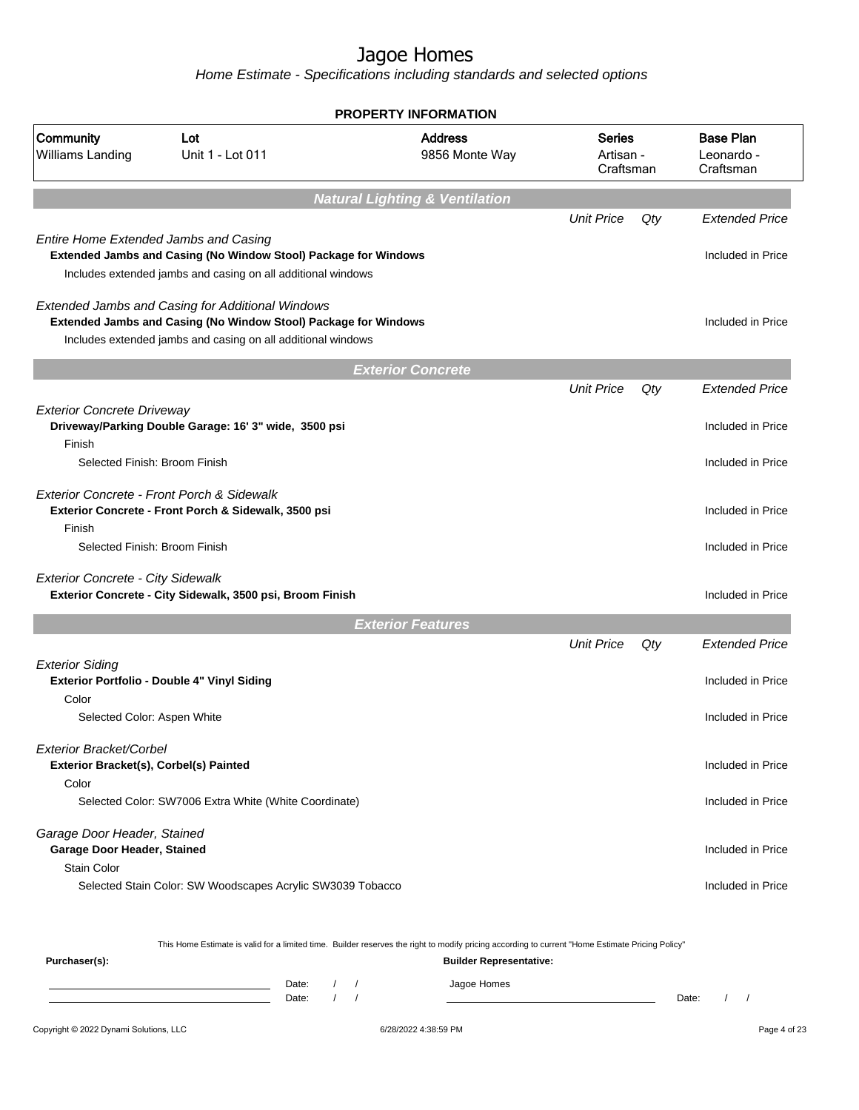Home Estimate - Specifications including standards and selected options

|                                                                            |                                                                                                                                                                                     | <b>PROPERTY INFORMATION</b>                                                                                                                      |                                  |     |                                             |
|----------------------------------------------------------------------------|-------------------------------------------------------------------------------------------------------------------------------------------------------------------------------------|--------------------------------------------------------------------------------------------------------------------------------------------------|----------------------------------|-----|---------------------------------------------|
| Community<br>Williams Landing                                              | Lot<br>Unit 1 - Lot 011                                                                                                                                                             | <b>Address</b><br>9856 Monte Way                                                                                                                 | Series<br>Artisan -<br>Craftsman |     | <b>Base Plan</b><br>Leonardo -<br>Craftsman |
|                                                                            |                                                                                                                                                                                     | <b>Natural Lighting &amp; Ventilation</b>                                                                                                        |                                  |     |                                             |
|                                                                            |                                                                                                                                                                                     |                                                                                                                                                  | <b>Unit Price</b>                | Qty | <b>Extended Price</b>                       |
| <b>Entire Home Extended Jambs and Casing</b>                               | <b>Extended Jambs and Casing (No Window Stool) Package for Windows</b><br>Includes extended jambs and casing on all additional windows                                              |                                                                                                                                                  |                                  |     | Included in Price                           |
|                                                                            | Extended Jambs and Casing for Additional Windows<br>Extended Jambs and Casing (No Window Stool) Package for Windows<br>Includes extended jambs and casing on all additional windows |                                                                                                                                                  |                                  |     | Included in Price                           |
|                                                                            |                                                                                                                                                                                     | <b>Exterior Concrete</b>                                                                                                                         |                                  |     |                                             |
|                                                                            |                                                                                                                                                                                     |                                                                                                                                                  | <b>Unit Price</b>                | Qty | <b>Extended Price</b>                       |
| <b>Exterior Concrete Driveway</b><br>Finish                                | Driveway/Parking Double Garage: 16' 3" wide, 3500 psi                                                                                                                               |                                                                                                                                                  |                                  |     | Included in Price                           |
| Selected Finish: Broom Finish                                              |                                                                                                                                                                                     |                                                                                                                                                  |                                  |     | Included in Price                           |
|                                                                            | Exterior Concrete - Front Porch & Sidewalk<br>Exterior Concrete - Front Porch & Sidewalk, 3500 psi                                                                                  |                                                                                                                                                  |                                  |     | Included in Price                           |
| Finish<br>Selected Finish: Broom Finish                                    |                                                                                                                                                                                     |                                                                                                                                                  |                                  |     | Included in Price                           |
|                                                                            |                                                                                                                                                                                     |                                                                                                                                                  |                                  |     |                                             |
| <b>Exterior Concrete - City Sidewalk</b>                                   | Exterior Concrete - City Sidewalk, 3500 psi, Broom Finish                                                                                                                           |                                                                                                                                                  |                                  |     | Included in Price                           |
|                                                                            |                                                                                                                                                                                     | <b>Exterior Features</b>                                                                                                                         |                                  |     |                                             |
|                                                                            |                                                                                                                                                                                     |                                                                                                                                                  | <b>Unit Price</b>                | Qty | <b>Extended Price</b>                       |
| <b>Exterior Siding</b><br>Color                                            | Exterior Portfolio - Double 4" Vinyl Siding                                                                                                                                         |                                                                                                                                                  |                                  |     | Included in Price                           |
| Selected Color: Aspen White                                                |                                                                                                                                                                                     |                                                                                                                                                  |                                  |     | Included in Price                           |
| Exterior Bracket/Corbel<br>Exterior Bracket(s), Corbel(s) Painted<br>Color |                                                                                                                                                                                     |                                                                                                                                                  |                                  |     | Included in Price                           |
|                                                                            | Selected Color: SW7006 Extra White (White Coordinate)                                                                                                                               |                                                                                                                                                  |                                  |     | Included in Price                           |
|                                                                            |                                                                                                                                                                                     |                                                                                                                                                  |                                  |     |                                             |
| Garage Door Header, Stained<br>Garage Door Header, Stained                 |                                                                                                                                                                                     |                                                                                                                                                  |                                  |     | Included in Price                           |
| Stain Color                                                                | Selected Stain Color: SW Woodscapes Acrylic SW3039 Tobacco                                                                                                                          |                                                                                                                                                  |                                  |     | Included in Price                           |
|                                                                            |                                                                                                                                                                                     | This Home Estimate is valid for a limited time. Builder reserves the right to modify pricing according to current "Home Estimate Pricing Policy" |                                  |     |                                             |

Copyright © 2022 Dynami Solutions, LLC <br>
G/28/2022 4:38:59 PM example and the Contract of 23

Date: / / Date: / /

Date: / / Jagoe Homes<br>Date: / / Jagoe Homes

**Purchaser(s): Builder Representative:**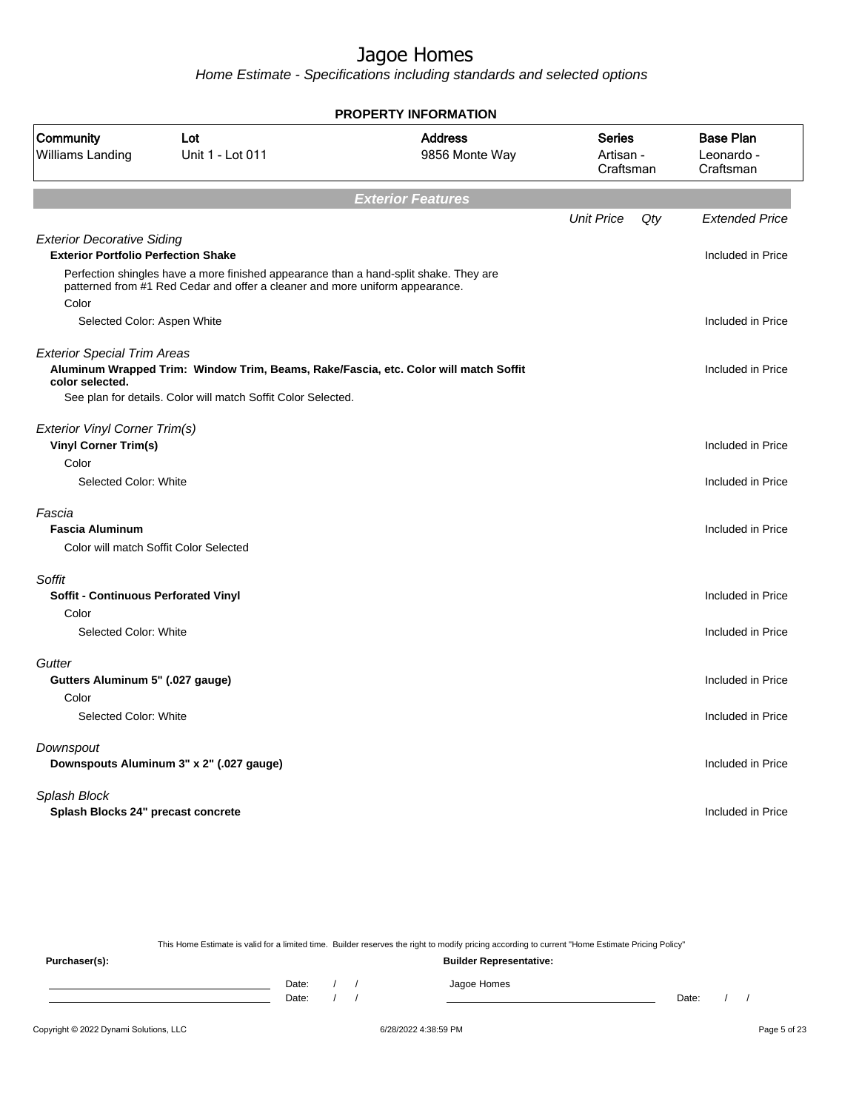Home Estimate - Specifications including standards and selected options

|                                                                                 |                                                                                                                                                                       | PROPERTY INFORMATION             |                                  |     |                                             |
|---------------------------------------------------------------------------------|-----------------------------------------------------------------------------------------------------------------------------------------------------------------------|----------------------------------|----------------------------------|-----|---------------------------------------------|
| Community<br>Williams Landing                                                   | Lot<br>Unit 1 - Lot 011                                                                                                                                               | <b>Address</b><br>9856 Monte Way | Series<br>Artisan -<br>Craftsman |     | <b>Base Plan</b><br>Leonardo -<br>Craftsman |
|                                                                                 |                                                                                                                                                                       | <b>Exterior Features</b>         |                                  |     |                                             |
|                                                                                 |                                                                                                                                                                       |                                  | <b>Unit Price</b>                | Qty | <b>Extended Price</b>                       |
| <b>Exterior Decorative Siding</b><br><b>Exterior Portfolio Perfection Shake</b> |                                                                                                                                                                       |                                  |                                  |     | Included in Price                           |
| Color                                                                           | Perfection shingles have a more finished appearance than a hand-split shake. They are<br>patterned from #1 Red Cedar and offer a cleaner and more uniform appearance. |                                  |                                  |     |                                             |
| Selected Color: Aspen White                                                     |                                                                                                                                                                       |                                  |                                  |     | Included in Price                           |
| <b>Exterior Special Trim Areas</b><br>color selected.                           | Aluminum Wrapped Trim: Window Trim, Beams, Rake/Fascia, etc. Color will match Soffit                                                                                  |                                  |                                  |     | Included in Price                           |
|                                                                                 | See plan for details. Color will match Soffit Color Selected.                                                                                                         |                                  |                                  |     |                                             |
| <b>Exterior Vinyl Corner Trim(s)</b><br><b>Vinyl Corner Trim(s)</b>             |                                                                                                                                                                       |                                  |                                  |     | Included in Price                           |
| Color                                                                           |                                                                                                                                                                       |                                  |                                  |     |                                             |
| Selected Color: White                                                           |                                                                                                                                                                       |                                  |                                  |     | Included in Price                           |
| Fascia<br><b>Fascia Aluminum</b><br>Color will match Soffit Color Selected      |                                                                                                                                                                       |                                  |                                  |     | Included in Price                           |
| Soffit<br><b>Soffit - Continuous Perforated Vinyl</b>                           |                                                                                                                                                                       |                                  |                                  |     | Included in Price                           |
| Color                                                                           |                                                                                                                                                                       |                                  |                                  |     |                                             |
| Selected Color: White                                                           |                                                                                                                                                                       |                                  |                                  |     | Included in Price                           |
| Gutter<br>Gutters Aluminum 5" (.027 gauge)                                      |                                                                                                                                                                       |                                  |                                  |     | Included in Price                           |
| Color                                                                           |                                                                                                                                                                       |                                  |                                  |     |                                             |
| Selected Color: White                                                           |                                                                                                                                                                       |                                  |                                  |     | Included in Price                           |
| Downspout                                                                       | Downspouts Aluminum 3" x 2" (.027 gauge)                                                                                                                              |                                  |                                  |     | Included in Price                           |
| Splash Block<br>Splash Blocks 24" precast concrete                              |                                                                                                                                                                       |                                  |                                  |     | Included in Price                           |
|                                                                                 |                                                                                                                                                                       |                                  |                                  |     |                                             |

This Home Estimate is valid for a limited time. Builder reserves the right to modify pricing according to current "Home Estimate Pricing Policy"

**Purchaser(s): Builder Representative:** Date: / / Jagoe Homes<br>Date: / / Jagoe Homes Date: / / **Date: / / 2006** Date: / / / Date: / / / Date: / / / 2006 Date: / / / 2006 Date: / / / 2006 Date: / / / 2006 Date: / / / 2007 Date: / / / 2007 Date: / / / 2007 Date: / / / 2007 Date: / / / 2007 Date: / / / 2007 D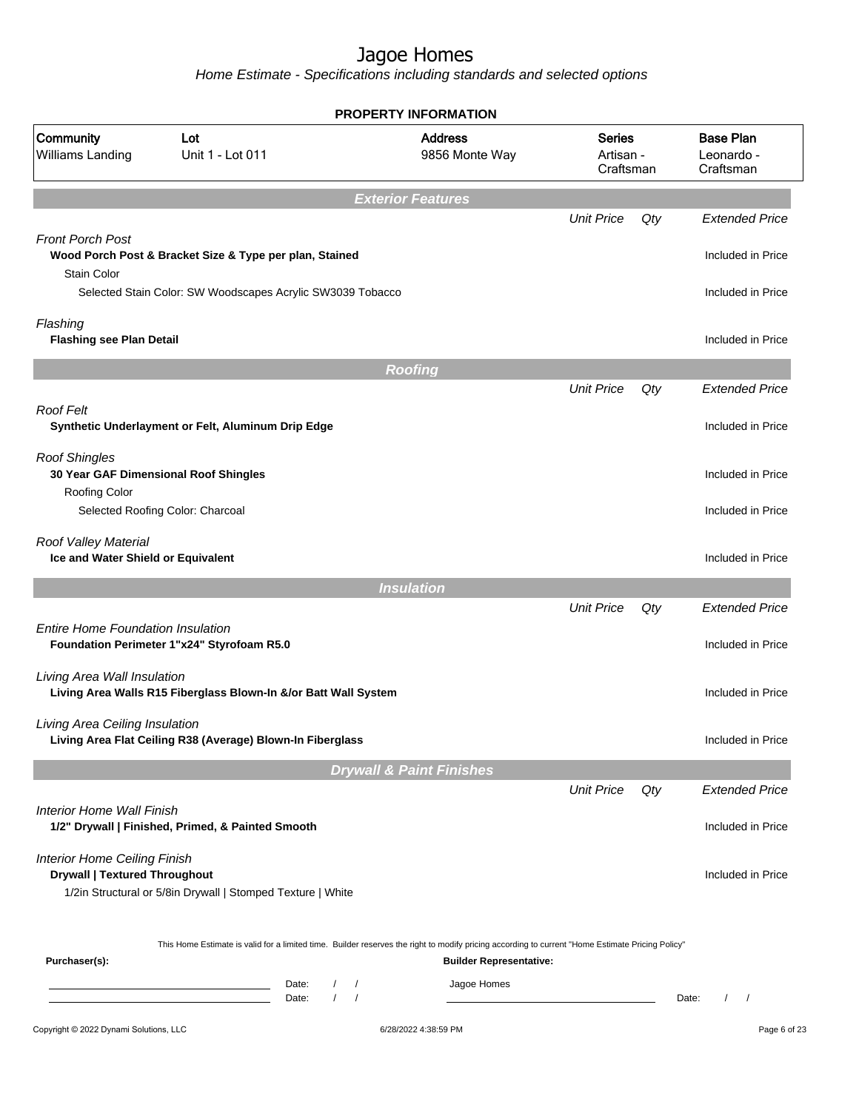|                                                                                       |                                                                 | <b>PROPERTY INFORMATION</b>                                                                                                                                                        |                                         |     |                                             |
|---------------------------------------------------------------------------------------|-----------------------------------------------------------------|------------------------------------------------------------------------------------------------------------------------------------------------------------------------------------|-----------------------------------------|-----|---------------------------------------------|
| Community<br>Williams Landing                                                         | Lot<br>Unit 1 - Lot 011                                         | <b>Address</b><br>9856 Monte Way                                                                                                                                                   | <b>Series</b><br>Artisan -<br>Craftsman |     | <b>Base Plan</b><br>Leonardo -<br>Craftsman |
|                                                                                       |                                                                 | <b>Exterior Features</b>                                                                                                                                                           |                                         |     |                                             |
|                                                                                       |                                                                 |                                                                                                                                                                                    | <b>Unit Price</b>                       | Qty | <b>Extended Price</b>                       |
| <b>Front Porch Post</b><br><b>Stain Color</b>                                         | Wood Porch Post & Bracket Size & Type per plan, Stained         |                                                                                                                                                                                    |                                         |     | Included in Price                           |
|                                                                                       | Selected Stain Color: SW Woodscapes Acrylic SW3039 Tobacco      |                                                                                                                                                                                    |                                         |     | Included in Price                           |
| Flashing                                                                              |                                                                 |                                                                                                                                                                                    |                                         |     |                                             |
| <b>Flashing see Plan Detail</b>                                                       |                                                                 |                                                                                                                                                                                    |                                         |     | Included in Price                           |
|                                                                                       |                                                                 | <b>Roofing</b>                                                                                                                                                                     |                                         |     |                                             |
|                                                                                       |                                                                 |                                                                                                                                                                                    | <b>Unit Price</b>                       | Qty | <b>Extended Price</b>                       |
| Roof Felt                                                                             |                                                                 |                                                                                                                                                                                    |                                         |     |                                             |
|                                                                                       | Synthetic Underlayment or Felt, Aluminum Drip Edge              |                                                                                                                                                                                    |                                         |     | Included in Price                           |
| <b>Roof Shingles</b><br>30 Year GAF Dimensional Roof Shingles<br><b>Roofing Color</b> |                                                                 |                                                                                                                                                                                    |                                         |     | Included in Price                           |
|                                                                                       | Selected Roofing Color: Charcoal                                |                                                                                                                                                                                    |                                         |     | Included in Price                           |
| Roof Valley Material<br>Ice and Water Shield or Equivalent                            |                                                                 |                                                                                                                                                                                    |                                         |     | Included in Price                           |
|                                                                                       |                                                                 | <b>Insulation</b>                                                                                                                                                                  |                                         |     |                                             |
|                                                                                       |                                                                 |                                                                                                                                                                                    | <b>Unit Price</b>                       | Qty | <b>Extended Price</b>                       |
| <b>Entire Home Foundation Insulation</b>                                              | Foundation Perimeter 1"x24" Styrofoam R5.0                      |                                                                                                                                                                                    |                                         |     | Included in Price                           |
| Living Area Wall Insulation                                                           | Living Area Walls R15 Fiberglass Blown-In &/or Batt Wall System |                                                                                                                                                                                    |                                         |     | Included in Price                           |
| Living Area Ceiling Insulation                                                        | Living Area Flat Ceiling R38 (Average) Blown-In Fiberglass      |                                                                                                                                                                                    |                                         |     | Included in Price                           |
|                                                                                       |                                                                 | <b>Drywall &amp; Paint Finishes</b>                                                                                                                                                |                                         |     |                                             |
|                                                                                       |                                                                 |                                                                                                                                                                                    | <b>Unit Price</b>                       | Qty | <b>Extended Price</b>                       |
| Interior Home Wall Finish                                                             | 1/2" Drywall   Finished, Primed, & Painted Smooth               |                                                                                                                                                                                    |                                         |     | Included in Price                           |
| <b>Interior Home Ceiling Finish</b><br><b>Drywall   Textured Throughout</b>           |                                                                 |                                                                                                                                                                                    |                                         |     | Included in Price                           |
|                                                                                       | 1/2in Structural or 5/8in Drywall   Stomped Texture   White     |                                                                                                                                                                                    |                                         |     |                                             |
| Purchaser(s):                                                                         |                                                                 | This Home Estimate is valid for a limited time. Builder reserves the right to modify pricing according to current "Home Estimate Pricing Policy"<br><b>Builder Representative:</b> |                                         |     |                                             |
|                                                                                       | Date:<br>Date:                                                  | Jagoe Homes<br>$\sqrt{ }$<br>$\prime$                                                                                                                                              |                                         |     | Date:<br>$\prime$                           |
| Copyright @ 2022 Dynami Solutions, LLC                                                |                                                                 | 6/28/2022 4:38:59 PM                                                                                                                                                               |                                         |     | Page 6 of 23                                |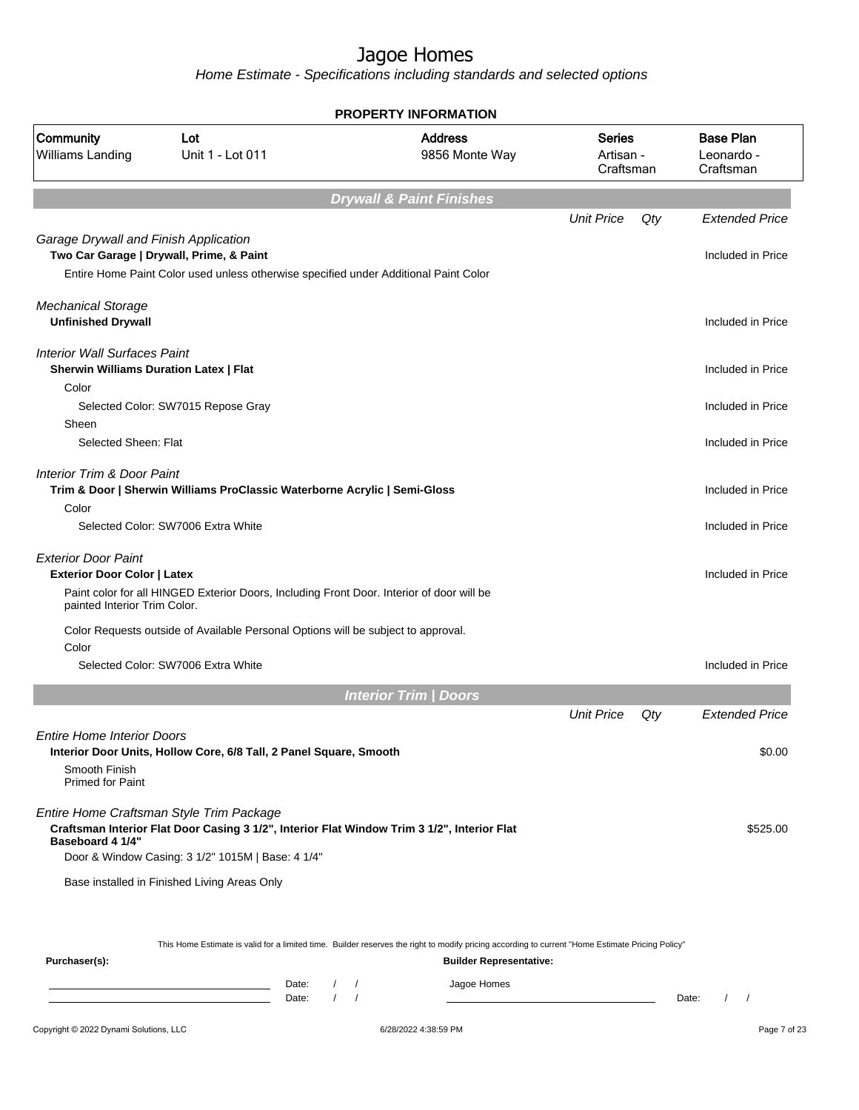|                                                                                                  |                                                                                                                                  |                     | <b>PROPERTY INFORMATION</b>                                                                                                                      |                                         |     |                                             |
|--------------------------------------------------------------------------------------------------|----------------------------------------------------------------------------------------------------------------------------------|---------------------|--------------------------------------------------------------------------------------------------------------------------------------------------|-----------------------------------------|-----|---------------------------------------------|
| Community<br>Williams Landing                                                                    | Lot<br>Unit 1 - Lot 011                                                                                                          |                     | <b>Address</b><br>9856 Monte Way                                                                                                                 | <b>Series</b><br>Artisan -<br>Craftsman |     | <b>Base Plan</b><br>Leonardo -<br>Craftsman |
|                                                                                                  |                                                                                                                                  |                     | <b>Drywall &amp; Paint Finishes</b>                                                                                                              |                                         |     |                                             |
|                                                                                                  |                                                                                                                                  |                     |                                                                                                                                                  | <b>Unit Price</b>                       | Qty | <b>Extended Price</b>                       |
| Garage Drywall and Finish Application                                                            | Two Car Garage   Drywall, Prime, & Paint<br>Entire Home Paint Color used unless otherwise specified under Additional Paint Color |                     |                                                                                                                                                  |                                         |     | Included in Price                           |
| <b>Mechanical Storage</b><br><b>Unfinished Drywall</b>                                           |                                                                                                                                  |                     |                                                                                                                                                  |                                         |     | Included in Price                           |
| <b>Interior Wall Surfaces Paint</b><br><b>Sherwin Williams Duration Latex   Flat</b>             |                                                                                                                                  |                     |                                                                                                                                                  |                                         |     | Included in Price                           |
| Color<br>Sheen                                                                                   | Selected Color: SW7015 Repose Gray                                                                                               |                     |                                                                                                                                                  |                                         |     | Included in Price                           |
| Selected Sheen: Flat                                                                             |                                                                                                                                  |                     |                                                                                                                                                  |                                         |     | Included in Price                           |
| <b>Interior Trim &amp; Door Paint</b><br>Color                                                   | Trim & Door   Sherwin Williams ProClassic Waterborne Acrylic   Semi-Gloss                                                        |                     |                                                                                                                                                  |                                         |     | Included in Price                           |
|                                                                                                  | Selected Color: SW7006 Extra White                                                                                               |                     |                                                                                                                                                  |                                         |     | Included in Price                           |
| <b>Exterior Door Paint</b><br><b>Exterior Door Color   Latex</b><br>painted Interior Trim Color. | Paint color for all HINGED Exterior Doors, Including Front Door. Interior of door will be                                        |                     |                                                                                                                                                  |                                         |     | Included in Price                           |
| Color                                                                                            | Color Requests outside of Available Personal Options will be subject to approval.                                                |                     |                                                                                                                                                  |                                         |     |                                             |
|                                                                                                  | Selected Color: SW7006 Extra White                                                                                               |                     |                                                                                                                                                  |                                         |     | Included in Price                           |
|                                                                                                  |                                                                                                                                  |                     | <b>Interior Trim / Doors</b>                                                                                                                     |                                         |     |                                             |
|                                                                                                  |                                                                                                                                  |                     |                                                                                                                                                  | <b>Unit Price</b>                       | Qty | <b>Extended Price</b>                       |
| <b>Entire Home Interior Doors</b><br>Smooth Finish<br><b>Primed for Paint</b>                    | Interior Door Units, Hollow Core, 6/8 Tall, 2 Panel Square, Smooth                                                               |                     |                                                                                                                                                  |                                         |     | \$0.00                                      |
| Baseboard 4 1/4"                                                                                 | Entire Home Craftsman Style Trim Package<br>Door & Window Casing: 3 1/2" 1015M   Base: 4 1/4"                                    |                     | Craftsman Interior Flat Door Casing 3 1/2", Interior Flat Window Trim 3 1/2", Interior Flat                                                      |                                         |     | \$525.00                                    |
|                                                                                                  | Base installed in Finished Living Areas Only                                                                                     |                     |                                                                                                                                                  |                                         |     |                                             |
|                                                                                                  |                                                                                                                                  |                     | This Home Estimate is valid for a limited time. Builder reserves the right to modify pricing according to current "Home Estimate Pricing Policy" |                                         |     |                                             |
| Purchaser(s):                                                                                    |                                                                                                                                  | Date:<br>$\sqrt{2}$ | <b>Builder Representative:</b><br>Jagoe Homes                                                                                                    |                                         |     |                                             |
|                                                                                                  |                                                                                                                                  | Date:               |                                                                                                                                                  |                                         |     | Date:<br>$\prime$<br>$\prime$               |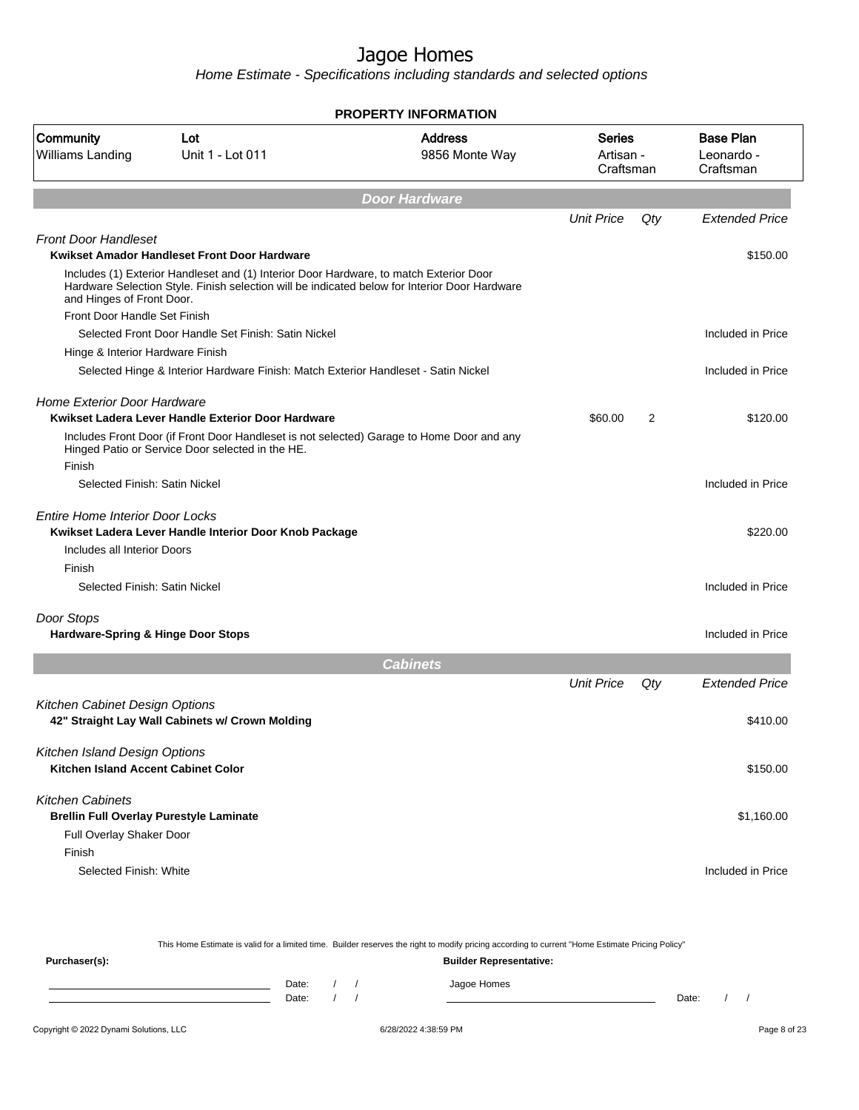|                                                                             |                                                                                                                                                                                                                                         | <b>PROPERTY INFORMATION</b>      |                                         |     |                                             |
|-----------------------------------------------------------------------------|-----------------------------------------------------------------------------------------------------------------------------------------------------------------------------------------------------------------------------------------|----------------------------------|-----------------------------------------|-----|---------------------------------------------|
| Community<br>Williams Landing                                               | Lot<br>Unit 1 - Lot 011                                                                                                                                                                                                                 | <b>Address</b><br>9856 Monte Way | <b>Series</b><br>Artisan -<br>Craftsman |     | <b>Base Plan</b><br>Leonardo -<br>Craftsman |
|                                                                             |                                                                                                                                                                                                                                         | <b>Door Hardware</b>             |                                         |     |                                             |
|                                                                             |                                                                                                                                                                                                                                         |                                  | <b>Unit Price</b>                       | Qty | <b>Extended Price</b>                       |
| <b>Front Door Handleset</b>                                                 |                                                                                                                                                                                                                                         |                                  |                                         |     |                                             |
| and Hinges of Front Door.                                                   | Kwikset Amador Handleset Front Door Hardware<br>Includes (1) Exterior Handleset and (1) Interior Door Hardware, to match Exterior Door<br>Hardware Selection Style. Finish selection will be indicated below for Interior Door Hardware |                                  |                                         |     | \$150.00                                    |
| Front Door Handle Set Finish                                                |                                                                                                                                                                                                                                         |                                  |                                         |     |                                             |
|                                                                             | Selected Front Door Handle Set Finish: Satin Nickel                                                                                                                                                                                     |                                  |                                         |     | Included in Price                           |
| Hinge & Interior Hardware Finish                                            |                                                                                                                                                                                                                                         |                                  |                                         |     |                                             |
|                                                                             | Selected Hinge & Interior Hardware Finish: Match Exterior Handleset - Satin Nickel                                                                                                                                                      |                                  |                                         |     | Included in Price                           |
| <b>Home Exterior Door Hardware</b>                                          | Kwikset Ladera Lever Handle Exterior Door Hardware                                                                                                                                                                                      |                                  | \$60.00                                 | 2   | \$120.00                                    |
|                                                                             | Includes Front Door (if Front Door Handleset is not selected) Garage to Home Door and any<br>Hinged Patio or Service Door selected in the HE.                                                                                           |                                  |                                         |     |                                             |
| Finish                                                                      |                                                                                                                                                                                                                                         |                                  |                                         |     |                                             |
| Selected Finish: Satin Nickel                                               |                                                                                                                                                                                                                                         |                                  |                                         |     | Included in Price                           |
| Entire Home Interior Door Locks                                             | Kwikset Ladera Lever Handle Interior Door Knob Package                                                                                                                                                                                  |                                  |                                         |     | \$220.00                                    |
| Includes all Interior Doors                                                 |                                                                                                                                                                                                                                         |                                  |                                         |     |                                             |
| Finish                                                                      |                                                                                                                                                                                                                                         |                                  |                                         |     |                                             |
| Selected Finish: Satin Nickel                                               |                                                                                                                                                                                                                                         |                                  |                                         |     | Included in Price                           |
| Door Stops                                                                  |                                                                                                                                                                                                                                         |                                  |                                         |     |                                             |
| Hardware-Spring & Hinge Door Stops                                          |                                                                                                                                                                                                                                         |                                  |                                         |     | Included in Price                           |
|                                                                             |                                                                                                                                                                                                                                         | <b>Cabinets</b>                  |                                         |     |                                             |
|                                                                             |                                                                                                                                                                                                                                         |                                  | <b>Unit Price</b>                       | Qty | <b>Extended Price</b>                       |
| Kitchen Cabinet Design Options                                              | 42" Straight Lay Wall Cabinets w/ Crown Molding                                                                                                                                                                                         |                                  |                                         |     | \$410.00                                    |
| Kitchen Island Design Options<br><b>Kitchen Island Accent Cabinet Color</b> |                                                                                                                                                                                                                                         |                                  |                                         |     | \$150.00                                    |
| <b>Kitchen Cabinets</b>                                                     | <b>Brellin Full Overlay Purestyle Laminate</b>                                                                                                                                                                                          |                                  |                                         |     | \$1,160.00                                  |
| Full Overlay Shaker Door<br>Finish                                          |                                                                                                                                                                                                                                         |                                  |                                         |     |                                             |
| Selected Finish: White                                                      |                                                                                                                                                                                                                                         |                                  |                                         |     | Included in Price                           |
|                                                                             |                                                                                                                                                                                                                                         |                                  |                                         |     |                                             |

|               |       |  | This Home Estimate is valid for a limited time. Builder reserves the right to modify pricing according to current "Home Estimate Pricing Policy" | <b>Builder Representative:</b> |  |
|---------------|-------|--|--------------------------------------------------------------------------------------------------------------------------------------------------|--------------------------------|--|
| Purchaser(s): |       |  |                                                                                                                                                  |                                |  |
|               | Date: |  | Jagoe Homes                                                                                                                                      |                                |  |
|               | Date: |  |                                                                                                                                                  | Date:                          |  |
|               |       |  |                                                                                                                                                  |                                |  |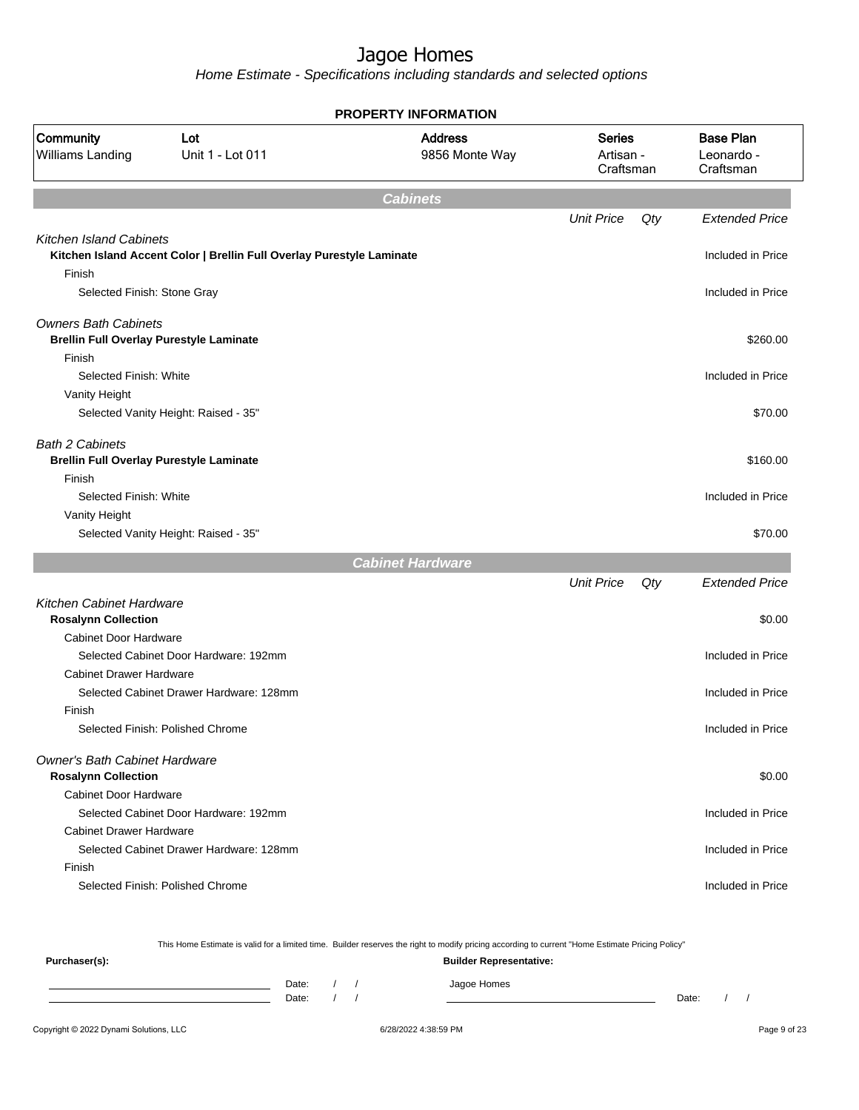Home Estimate - Specifications including standards and selected options

|                                                                               |                                                                       | <b>PROPERTY INFORMATION</b>      |                                         |     |                                             |
|-------------------------------------------------------------------------------|-----------------------------------------------------------------------|----------------------------------|-----------------------------------------|-----|---------------------------------------------|
| Community<br>Williams Landing                                                 | Lot<br>Unit 1 - Lot 011                                               | <b>Address</b><br>9856 Monte Way | <b>Series</b><br>Artisan -<br>Craftsman |     | <b>Base Plan</b><br>Leonardo -<br>Craftsman |
|                                                                               |                                                                       | <b>Cabinets</b>                  |                                         |     |                                             |
|                                                                               |                                                                       |                                  | <b>Unit Price</b>                       | Qty | <b>Extended Price</b>                       |
| <b>Kitchen Island Cabinets</b><br>Finish                                      | Kitchen Island Accent Color   Brellin Full Overlay Purestyle Laminate |                                  |                                         |     | Included in Price                           |
| Selected Finish: Stone Gray                                                   |                                                                       |                                  |                                         |     | Included in Price                           |
| <b>Owners Bath Cabinets</b><br><b>Brellin Full Overlay Purestyle Laminate</b> |                                                                       |                                  |                                         |     | \$260.00                                    |
| Finish                                                                        |                                                                       |                                  |                                         |     |                                             |
| Selected Finish: White<br>Vanity Height                                       |                                                                       |                                  |                                         |     | Included in Price                           |
|                                                                               | Selected Vanity Height: Raised - 35"                                  |                                  |                                         |     | \$70.00                                     |
| <b>Bath 2 Cabinets</b>                                                        |                                                                       |                                  |                                         |     |                                             |
| <b>Brellin Full Overlay Purestyle Laminate</b>                                |                                                                       |                                  |                                         |     | \$160.00                                    |
| Finish                                                                        |                                                                       |                                  |                                         |     |                                             |
| Selected Finish: White                                                        |                                                                       |                                  |                                         |     | Included in Price                           |
| Vanity Height                                                                 | Selected Vanity Height: Raised - 35"                                  |                                  |                                         |     | \$70.00                                     |
|                                                                               |                                                                       |                                  |                                         |     |                                             |
|                                                                               |                                                                       | <b>Cabinet Hardware</b>          |                                         |     | <b>Extended Price</b>                       |
| Kitchen Cabinet Hardware                                                      |                                                                       |                                  | <b>Unit Price</b>                       | Qty |                                             |
| <b>Rosalynn Collection</b>                                                    |                                                                       |                                  |                                         |     | \$0.00                                      |
| <b>Cabinet Door Hardware</b>                                                  |                                                                       |                                  |                                         |     |                                             |
|                                                                               | Selected Cabinet Door Hardware: 192mm                                 |                                  |                                         |     | Included in Price                           |
| <b>Cabinet Drawer Hardware</b>                                                |                                                                       |                                  |                                         |     |                                             |
|                                                                               | Selected Cabinet Drawer Hardware: 128mm                               |                                  |                                         |     | Included in Price                           |
| Finish                                                                        |                                                                       |                                  |                                         |     |                                             |
|                                                                               | Selected Finish: Polished Chrome                                      |                                  |                                         |     | Included in Price                           |
| <b>Owner's Bath Cabinet Hardware</b><br><b>Rosalynn Collection</b>            |                                                                       |                                  |                                         |     | \$0.00                                      |
| <b>Cabinet Door Hardware</b>                                                  |                                                                       |                                  |                                         |     |                                             |
|                                                                               | Selected Cabinet Door Hardware: 192mm                                 |                                  |                                         |     | Included in Price                           |
| <b>Cabinet Drawer Hardware</b>                                                |                                                                       |                                  |                                         |     |                                             |
|                                                                               | Selected Cabinet Drawer Hardware: 128mm                               |                                  |                                         |     | Included in Price                           |
| Finish                                                                        | Selected Finish: Polished Chrome                                      |                                  |                                         |     | Included in Price                           |
|                                                                               |                                                                       |                                  |                                         |     |                                             |

This Home Estimate is valid for a limited time. Builder reserves the right to modify pricing according to current "Home Estimate Pricing Policy"

**Purchaser(s): Builder Representative:** Date: / / Jagoe Homes<br>Date: / / Jagoe Homes Date: / / **Date: / / 2006** Date: / / / Date: / / / Date: / / / 2006 Date: / / / 2006 Date: / / / 2006 Date: / / / 2006 Date: / / / 2007 Date: / / / 2007 Date: / / / 2007 Date: / / / 2007 Date: / / / 2007 Date: / / / 2007 D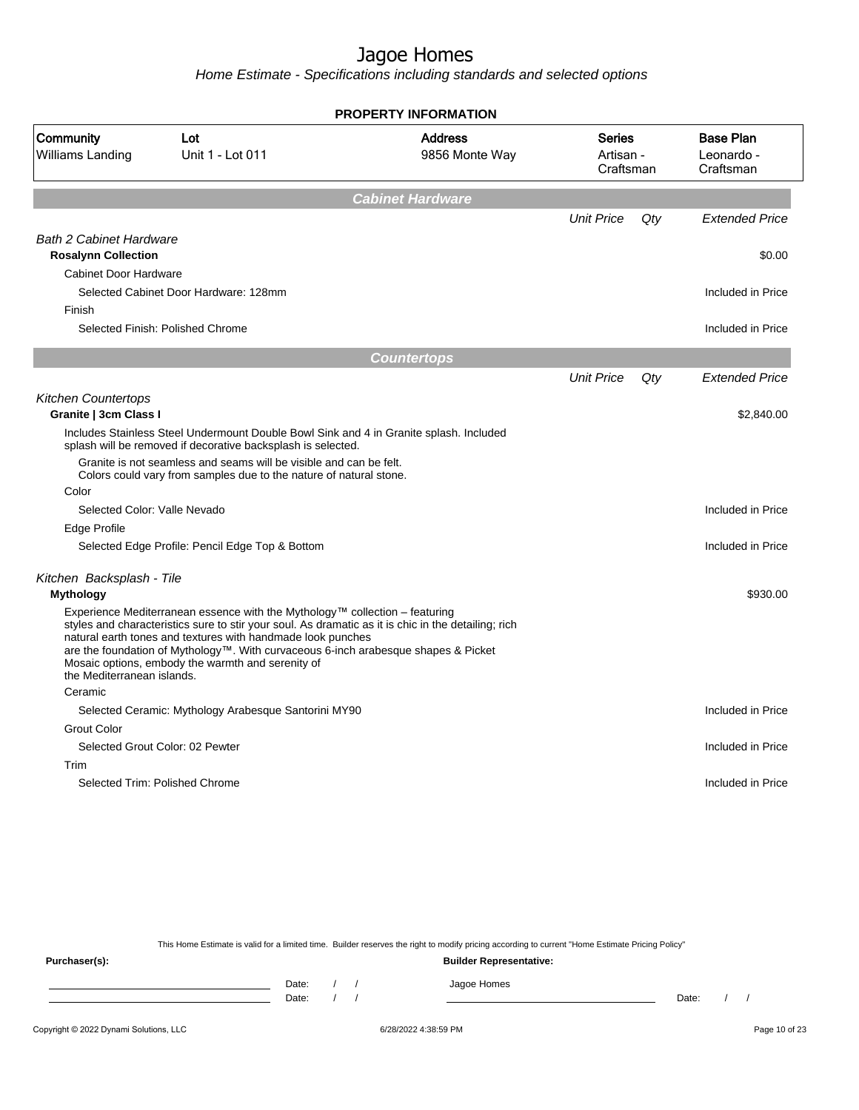Home Estimate - Specifications including standards and selected options

|                                                              |                                                                                                                                                                                                                                                                                                                                                                                              | <b>PROPERTY INFORMATION</b>      |                                         |        |                                             |
|--------------------------------------------------------------|----------------------------------------------------------------------------------------------------------------------------------------------------------------------------------------------------------------------------------------------------------------------------------------------------------------------------------------------------------------------------------------------|----------------------------------|-----------------------------------------|--------|---------------------------------------------|
| Community<br>Williams Landing                                | Lot<br>Unit 1 - Lot 011                                                                                                                                                                                                                                                                                                                                                                      | <b>Address</b><br>9856 Monte Way | <b>Series</b><br>Artisan -<br>Craftsman |        | <b>Base Plan</b><br>Leonardo -<br>Craftsman |
|                                                              |                                                                                                                                                                                                                                                                                                                                                                                              | <b>Cabinet Hardware</b>          |                                         |        |                                             |
|                                                              |                                                                                                                                                                                                                                                                                                                                                                                              |                                  | <b>Unit Price</b>                       | $Q$ ty | <b>Extended Price</b>                       |
| <b>Bath 2 Cabinet Hardware</b><br><b>Rosalynn Collection</b> |                                                                                                                                                                                                                                                                                                                                                                                              |                                  |                                         |        | \$0.00                                      |
| <b>Cabinet Door Hardware</b>                                 |                                                                                                                                                                                                                                                                                                                                                                                              |                                  |                                         |        |                                             |
|                                                              | Selected Cabinet Door Hardware: 128mm                                                                                                                                                                                                                                                                                                                                                        |                                  |                                         |        | Included in Price                           |
| Finish                                                       |                                                                                                                                                                                                                                                                                                                                                                                              |                                  |                                         |        |                                             |
|                                                              | Selected Finish: Polished Chrome                                                                                                                                                                                                                                                                                                                                                             |                                  |                                         |        | Included in Price                           |
|                                                              |                                                                                                                                                                                                                                                                                                                                                                                              | <b>Countertops</b>               |                                         |        |                                             |
|                                                              |                                                                                                                                                                                                                                                                                                                                                                                              |                                  | <b>Unit Price</b>                       | Qty    | <b>Extended Price</b>                       |
| <b>Kitchen Countertops</b>                                   |                                                                                                                                                                                                                                                                                                                                                                                              |                                  |                                         |        |                                             |
| Granite   3cm Class I                                        |                                                                                                                                                                                                                                                                                                                                                                                              |                                  |                                         |        | \$2,840.00                                  |
|                                                              | Includes Stainless Steel Undermount Double Bowl Sink and 4 in Granite splash. Included<br>splash will be removed if decorative backsplash is selected.                                                                                                                                                                                                                                       |                                  |                                         |        |                                             |
|                                                              | Granite is not seamless and seams will be visible and can be felt.<br>Colors could vary from samples due to the nature of natural stone.                                                                                                                                                                                                                                                     |                                  |                                         |        |                                             |
| Color                                                        |                                                                                                                                                                                                                                                                                                                                                                                              |                                  |                                         |        |                                             |
| Selected Color: Valle Nevado                                 |                                                                                                                                                                                                                                                                                                                                                                                              |                                  |                                         |        | Included in Price                           |
| Edge Profile                                                 |                                                                                                                                                                                                                                                                                                                                                                                              |                                  |                                         |        |                                             |
|                                                              | Selected Edge Profile: Pencil Edge Top & Bottom                                                                                                                                                                                                                                                                                                                                              |                                  |                                         |        | Included in Price                           |
| Kitchen Backsplash - Tile                                    |                                                                                                                                                                                                                                                                                                                                                                                              |                                  |                                         |        |                                             |
| <b>Mythology</b>                                             |                                                                                                                                                                                                                                                                                                                                                                                              |                                  |                                         |        | \$930.00                                    |
| the Mediterranean islands.                                   | Experience Mediterranean essence with the Mythology™ collection – featuring<br>styles and characteristics sure to stir your soul. As dramatic as it is chic in the detailing; rich<br>natural earth tones and textures with handmade look punches<br>are the foundation of Mythology™. With curvaceous 6-inch arabesque shapes & Picket<br>Mosaic options, embody the warmth and serenity of |                                  |                                         |        |                                             |
| Ceramic                                                      |                                                                                                                                                                                                                                                                                                                                                                                              |                                  |                                         |        |                                             |
|                                                              | Selected Ceramic: Mythology Arabesque Santorini MY90                                                                                                                                                                                                                                                                                                                                         |                                  |                                         |        | Included in Price                           |
| <b>Grout Color</b>                                           |                                                                                                                                                                                                                                                                                                                                                                                              |                                  |                                         |        |                                             |
|                                                              | Selected Grout Color: 02 Pewter                                                                                                                                                                                                                                                                                                                                                              |                                  |                                         |        | Included in Price                           |
| Trim                                                         |                                                                                                                                                                                                                                                                                                                                                                                              |                                  |                                         |        |                                             |
|                                                              | Selected Trim: Polished Chrome                                                                                                                                                                                                                                                                                                                                                               |                                  |                                         |        | Included in Price                           |
|                                                              |                                                                                                                                                                                                                                                                                                                                                                                              |                                  |                                         |        |                                             |

This Home Estimate is valid for a limited time. Builder reserves the right to modify pricing according to current "Home Estimate Pricing Policy"

**Purchaser(s): Builder Representative:** Date: / / Jagoe Homes<br>Date: / / Jagoe Homes Date: / / Date: / /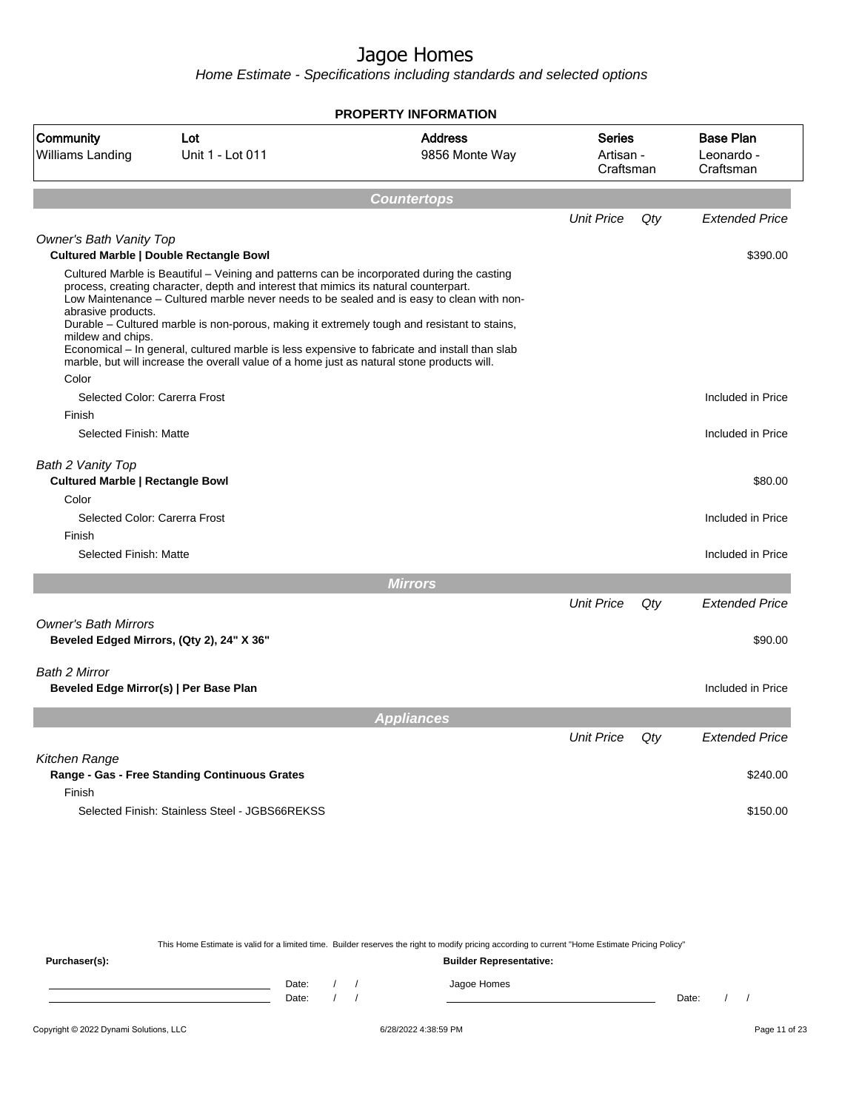Home Estimate - Specifications including standards and selected options

|                                                                                                        |                                                                                                                                                                                                                                                                                                                                                                                                                                                                                                                                                                               | <b>PROPERTY INFORMATION</b>      |                                         |     |                                             |
|--------------------------------------------------------------------------------------------------------|-------------------------------------------------------------------------------------------------------------------------------------------------------------------------------------------------------------------------------------------------------------------------------------------------------------------------------------------------------------------------------------------------------------------------------------------------------------------------------------------------------------------------------------------------------------------------------|----------------------------------|-----------------------------------------|-----|---------------------------------------------|
| Community<br>Williams Landing                                                                          | Lot<br>Unit 1 - Lot 011                                                                                                                                                                                                                                                                                                                                                                                                                                                                                                                                                       | <b>Address</b><br>9856 Monte Way | <b>Series</b><br>Artisan -<br>Craftsman |     | <b>Base Plan</b><br>Leonardo -<br>Craftsman |
|                                                                                                        |                                                                                                                                                                                                                                                                                                                                                                                                                                                                                                                                                                               |                                  |                                         |     |                                             |
|                                                                                                        |                                                                                                                                                                                                                                                                                                                                                                                                                                                                                                                                                                               | <b>Countertops</b>               |                                         |     |                                             |
|                                                                                                        |                                                                                                                                                                                                                                                                                                                                                                                                                                                                                                                                                                               |                                  | <b>Unit Price</b>                       | Qty | <b>Extended Price</b>                       |
| <b>Owner's Bath Vanity Top</b>                                                                         | Cultured Marble   Double Rectangle Bowl                                                                                                                                                                                                                                                                                                                                                                                                                                                                                                                                       |                                  |                                         |     | \$390.00                                    |
| abrasive products.<br>mildew and chips.<br>Color                                                       | Cultured Marble is Beautiful – Veining and patterns can be incorporated during the casting<br>process, creating character, depth and interest that mimics its natural counterpart.<br>Low Maintenance – Cultured marble never needs to be sealed and is easy to clean with non-<br>Durable - Cultured marble is non-porous, making it extremely tough and resistant to stains,<br>Economical – In general, cultured marble is less expensive to fabricate and install than slab<br>marble, but will increase the overall value of a home just as natural stone products will. |                                  |                                         |     |                                             |
| Selected Color: Carerra Frost                                                                          |                                                                                                                                                                                                                                                                                                                                                                                                                                                                                                                                                                               |                                  |                                         |     | Included in Price                           |
| Finish                                                                                                 |                                                                                                                                                                                                                                                                                                                                                                                                                                                                                                                                                                               |                                  |                                         |     |                                             |
| Selected Finish: Matte                                                                                 |                                                                                                                                                                                                                                                                                                                                                                                                                                                                                                                                                                               |                                  |                                         |     | Included in Price                           |
| Bath 2 Vanity Top<br><b>Cultured Marble   Rectangle Bowl</b><br>Color<br>Selected Color: Carerra Frost |                                                                                                                                                                                                                                                                                                                                                                                                                                                                                                                                                                               |                                  |                                         |     | \$80.00<br>Included in Price                |
| Finish<br>Selected Finish: Matte                                                                       |                                                                                                                                                                                                                                                                                                                                                                                                                                                                                                                                                                               |                                  |                                         |     | Included in Price                           |
|                                                                                                        |                                                                                                                                                                                                                                                                                                                                                                                                                                                                                                                                                                               |                                  |                                         |     |                                             |
|                                                                                                        |                                                                                                                                                                                                                                                                                                                                                                                                                                                                                                                                                                               | <b>Mirrors</b>                   |                                         |     |                                             |
|                                                                                                        |                                                                                                                                                                                                                                                                                                                                                                                                                                                                                                                                                                               |                                  | <b>Unit Price</b>                       | Qty | <b>Extended Price</b>                       |
| <b>Owner's Bath Mirrors</b>                                                                            | Beveled Edged Mirrors, (Qty 2), 24" X 36"                                                                                                                                                                                                                                                                                                                                                                                                                                                                                                                                     |                                  |                                         |     | \$90.00                                     |
| <b>Bath 2 Mirror</b><br>Beveled Edge Mirror(s)   Per Base Plan                                         |                                                                                                                                                                                                                                                                                                                                                                                                                                                                                                                                                                               |                                  |                                         |     | Included in Price                           |
|                                                                                                        |                                                                                                                                                                                                                                                                                                                                                                                                                                                                                                                                                                               | <b>Appliances</b>                |                                         |     |                                             |
|                                                                                                        |                                                                                                                                                                                                                                                                                                                                                                                                                                                                                                                                                                               |                                  | <b>Unit Price</b>                       | Qty | <b>Extended Price</b>                       |
| Kitchen Range<br>Finish                                                                                | Range - Gas - Free Standing Continuous Grates                                                                                                                                                                                                                                                                                                                                                                                                                                                                                                                                 |                                  |                                         |     | \$240.00                                    |
|                                                                                                        | Selected Finish: Stainless Steel - JGBS66REKSS                                                                                                                                                                                                                                                                                                                                                                                                                                                                                                                                |                                  |                                         |     | \$150.00                                    |

This Home Estimate is valid for a limited time. Builder reserves the right to modify pricing according to current "Home Estimate Pricing Policy"

**Purchaser(s): Builder Representative:** Date: / / Jagoe Homes<br>Date: / / Jagoe Homes Date: / / Date: / /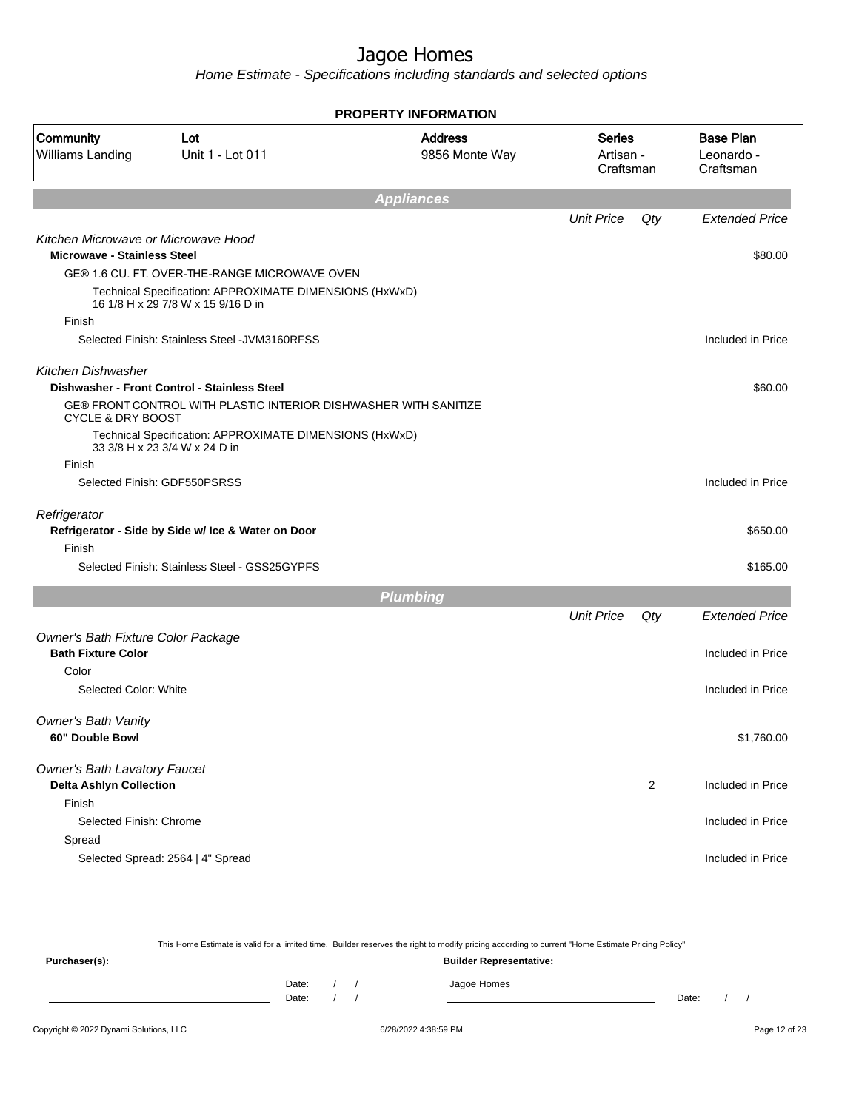Home Estimate - Specifications including standards and selected options

|                                                                           |                                                                                               | <b>PROPERTY INFORMATION</b>      |                                         |                |                                             |
|---------------------------------------------------------------------------|-----------------------------------------------------------------------------------------------|----------------------------------|-----------------------------------------|----------------|---------------------------------------------|
| Community<br><b>Williams Landing</b>                                      | Lot<br>Unit 1 - Lot 011                                                                       | <b>Address</b><br>9856 Monte Way | <b>Series</b><br>Artisan -<br>Craftsman |                | <b>Base Plan</b><br>Leonardo -<br>Craftsman |
|                                                                           |                                                                                               | <b>Appliances</b>                |                                         |                |                                             |
|                                                                           |                                                                                               |                                  | <b>Unit Price</b>                       | Qty            | <b>Extended Price</b>                       |
| Kitchen Microwave or Microwave Hood<br><b>Microwave - Stainless Steel</b> |                                                                                               |                                  |                                         |                | \$80.00                                     |
|                                                                           | GE® 1.6 CU. FT. OVER-THE-RANGE MICROWAVE OVEN                                                 |                                  |                                         |                |                                             |
|                                                                           | Technical Specification: APPROXIMATE DIMENSIONS (HxWxD)<br>16 1/8 H x 29 7/8 W x 15 9/16 D in |                                  |                                         |                |                                             |
| Finish                                                                    |                                                                                               |                                  |                                         |                |                                             |
|                                                                           | Selected Finish: Stainless Steel - JVM3160RFSS                                                |                                  |                                         |                | Included in Price                           |
| <b>Kitchen Dishwasher</b>                                                 |                                                                                               |                                  |                                         |                |                                             |
|                                                                           | Dishwasher - Front Control - Stainless Steel                                                  |                                  |                                         |                | \$60.00                                     |
| <b>CYCLE &amp; DRY BOOST</b>                                              | GE® FRONT CONTROL WITH PLASTIC INTERIOR DISHWASHER WITH SANITIZE                              |                                  |                                         |                |                                             |
|                                                                           | Technical Specification: APPROXIMATE DIMENSIONS (HxWxD)<br>33 3/8 H x 23 3/4 W x 24 D in      |                                  |                                         |                |                                             |
| Finish                                                                    |                                                                                               |                                  |                                         |                |                                             |
|                                                                           | Selected Finish: GDF550PSRSS                                                                  |                                  |                                         |                | Included in Price                           |
| Refrigerator                                                              |                                                                                               |                                  |                                         |                |                                             |
|                                                                           | Refrigerator - Side by Side w/ Ice & Water on Door                                            |                                  |                                         |                | \$650.00                                    |
| Finish                                                                    | Selected Finish: Stainless Steel - GSS25GYPFS                                                 |                                  |                                         |                | \$165.00                                    |
|                                                                           |                                                                                               |                                  |                                         |                |                                             |
|                                                                           |                                                                                               | <b>Plumbing</b>                  |                                         |                |                                             |
|                                                                           |                                                                                               |                                  | <b>Unit Price</b>                       | Qty            | <b>Extended Price</b>                       |
| Owner's Bath Fixture Color Package<br><b>Bath Fixture Color</b>           |                                                                                               |                                  |                                         |                | Included in Price                           |
| Color                                                                     |                                                                                               |                                  |                                         |                |                                             |
| Selected Color: White                                                     |                                                                                               |                                  |                                         |                | Included in Price                           |
| Owner's Bath Vanity                                                       |                                                                                               |                                  |                                         |                |                                             |
| 60" Double Bowl                                                           |                                                                                               |                                  |                                         |                | \$1,760.00                                  |
|                                                                           |                                                                                               |                                  |                                         |                |                                             |
| <b>Owner's Bath Lavatory Faucet</b><br><b>Delta Ashlyn Collection</b>     |                                                                                               |                                  |                                         | $\overline{2}$ | Included in Price                           |
| Finish                                                                    |                                                                                               |                                  |                                         |                |                                             |
| Selected Finish: Chrome                                                   |                                                                                               |                                  |                                         |                | Included in Price                           |
| Spread                                                                    |                                                                                               |                                  |                                         |                |                                             |
|                                                                           | Selected Spread: 2564   4" Spread                                                             |                                  |                                         |                | Included in Price                           |
|                                                                           |                                                                                               |                                  |                                         |                |                                             |

This Home Estimate is valid for a limited time. Builder reserves the right to modify pricing according to current "Home Estimate Pricing Policy" **Purchaser(s): Builder Representative:** Date: / / Jagoe Homes<br>Date: / / Jagoe Homes Date: / / **Date: / / 2006** Date: / / / Date: / / / Date: / / / 2006 Date: / / / 2006 Date: / / / 2006 Date: / / / 2006 Date: / / / 2007 Date: / / / 2007 Date: / / / 2007 Date: / / / 2007 Date: / / / 2007 Date: / / / 2007 D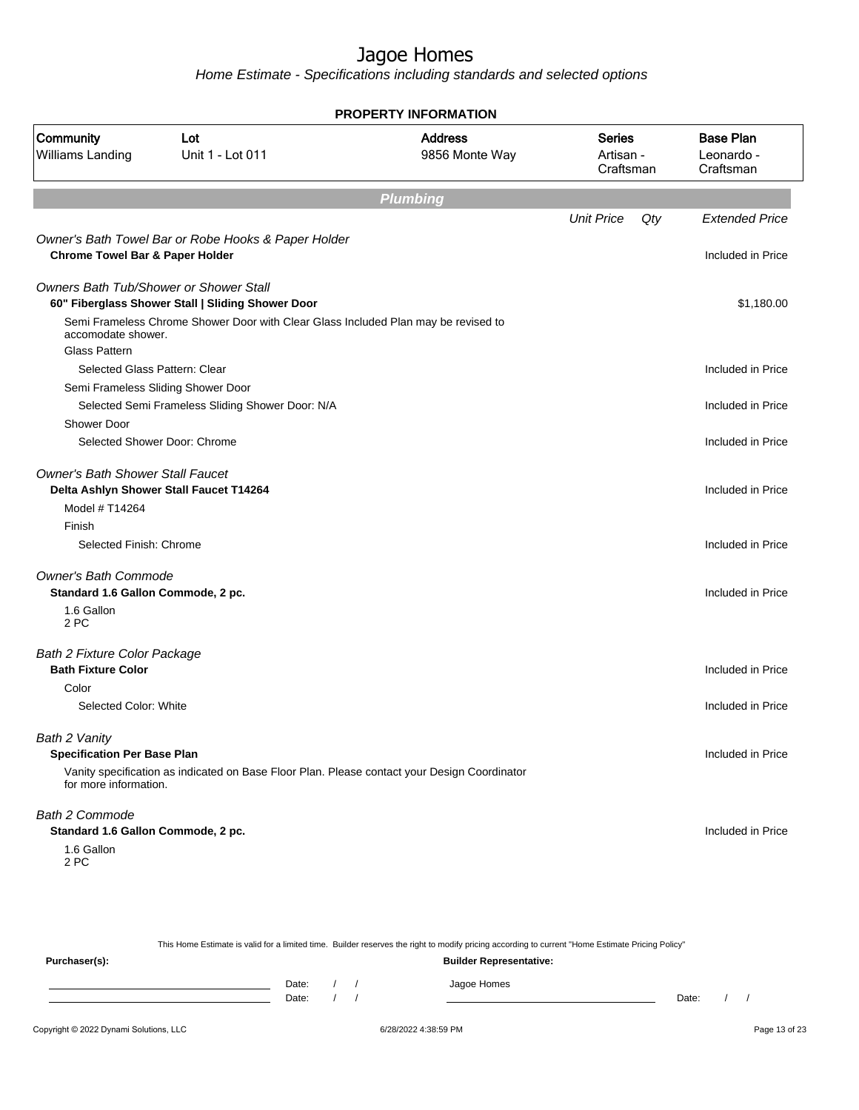|                                            |                                                                                    | <b>PROPERTY INFORMATION</b>                                                                  |                                         |     |                                             |
|--------------------------------------------|------------------------------------------------------------------------------------|----------------------------------------------------------------------------------------------|-----------------------------------------|-----|---------------------------------------------|
| Community<br>Williams Landing              | Lot<br>Unit 1 - Lot 011                                                            | <b>Address</b><br>9856 Monte Way                                                             | <b>Series</b><br>Artisan -<br>Craftsman |     | <b>Base Plan</b><br>Leonardo -<br>Craftsman |
|                                            |                                                                                    | <b>Plumbing</b>                                                                              |                                         |     |                                             |
|                                            |                                                                                    |                                                                                              | <b>Unit Price</b>                       | Qty | <b>Extended Price</b>                       |
|                                            | Owner's Bath Towel Bar or Robe Hooks & Paper Holder                                |                                                                                              |                                         |     |                                             |
| <b>Chrome Towel Bar &amp; Paper Holder</b> |                                                                                    |                                                                                              |                                         |     | Included in Price                           |
|                                            | Owners Bath Tub/Shower or Shower Stall                                             |                                                                                              |                                         |     |                                             |
|                                            | 60" Fiberglass Shower Stall   Sliding Shower Door                                  |                                                                                              |                                         |     | \$1,180.00                                  |
| accomodate shower.                         | Semi Frameless Chrome Shower Door with Clear Glass Included Plan may be revised to |                                                                                              |                                         |     |                                             |
| <b>Glass Pattern</b>                       |                                                                                    |                                                                                              |                                         |     |                                             |
|                                            | Selected Glass Pattern: Clear                                                      |                                                                                              |                                         |     | Included in Price                           |
|                                            | Semi Frameless Sliding Shower Door                                                 |                                                                                              |                                         |     |                                             |
|                                            | Selected Semi Frameless Sliding Shower Door: N/A                                   |                                                                                              |                                         |     | Included in Price                           |
| <b>Shower Door</b>                         |                                                                                    |                                                                                              |                                         |     |                                             |
|                                            | Selected Shower Door: Chrome                                                       |                                                                                              |                                         |     | Included in Price                           |
| <b>Owner's Bath Shower Stall Faucet</b>    |                                                                                    |                                                                                              |                                         |     |                                             |
|                                            | Delta Ashlyn Shower Stall Faucet T14264                                            |                                                                                              |                                         |     | Included in Price                           |
| Model # T14264                             |                                                                                    |                                                                                              |                                         |     |                                             |
| Finish                                     |                                                                                    |                                                                                              |                                         |     |                                             |
| Selected Finish: Chrome                    |                                                                                    |                                                                                              |                                         |     | Included in Price                           |
| <b>Owner's Bath Commode</b>                |                                                                                    |                                                                                              |                                         |     |                                             |
| Standard 1.6 Gallon Commode, 2 pc.         |                                                                                    |                                                                                              |                                         |     | Included in Price                           |
| 1.6 Gallon<br>2 PC                         |                                                                                    |                                                                                              |                                         |     |                                             |
|                                            |                                                                                    |                                                                                              |                                         |     |                                             |
| Bath 2 Fixture Color Package               |                                                                                    |                                                                                              |                                         |     |                                             |
| <b>Bath Fixture Color</b><br>Color         |                                                                                    |                                                                                              |                                         |     | Included in Price                           |
| Selected Color: White                      |                                                                                    |                                                                                              |                                         |     | Included in Price                           |
|                                            |                                                                                    |                                                                                              |                                         |     |                                             |
| Bath 2 Vanity                              |                                                                                    |                                                                                              |                                         |     |                                             |
| <b>Specification Per Base Plan</b>         |                                                                                    | Vanity specification as indicated on Base Floor Plan. Please contact your Design Coordinator |                                         |     | Included in Price                           |
| for more information.                      |                                                                                    |                                                                                              |                                         |     |                                             |
| <b>Bath 2 Commode</b>                      |                                                                                    |                                                                                              |                                         |     |                                             |
| Standard 1.6 Gallon Commode, 2 pc.         |                                                                                    |                                                                                              |                                         |     | Included in Price                           |
| 1.6 Gallon<br>2 PC                         |                                                                                    |                                                                                              |                                         |     |                                             |
|                                            |                                                                                    |                                                                                              |                                         |     |                                             |

|               |       |                                |  |  | This Home Estimate is valid for a limited time. Builder reserves the right to modify pricing according to current "Home Estimate Pricing Policy" |       |  |  |  |  |  |
|---------------|-------|--------------------------------|--|--|--------------------------------------------------------------------------------------------------------------------------------------------------|-------|--|--|--|--|--|
| Purchaser(s): |       | <b>Builder Representative:</b> |  |  |                                                                                                                                                  |       |  |  |  |  |  |
|               | Date: |                                |  |  | Jagoe Homes                                                                                                                                      |       |  |  |  |  |  |
|               | Date: |                                |  |  |                                                                                                                                                  | Date: |  |  |  |  |  |
|               |       |                                |  |  |                                                                                                                                                  |       |  |  |  |  |  |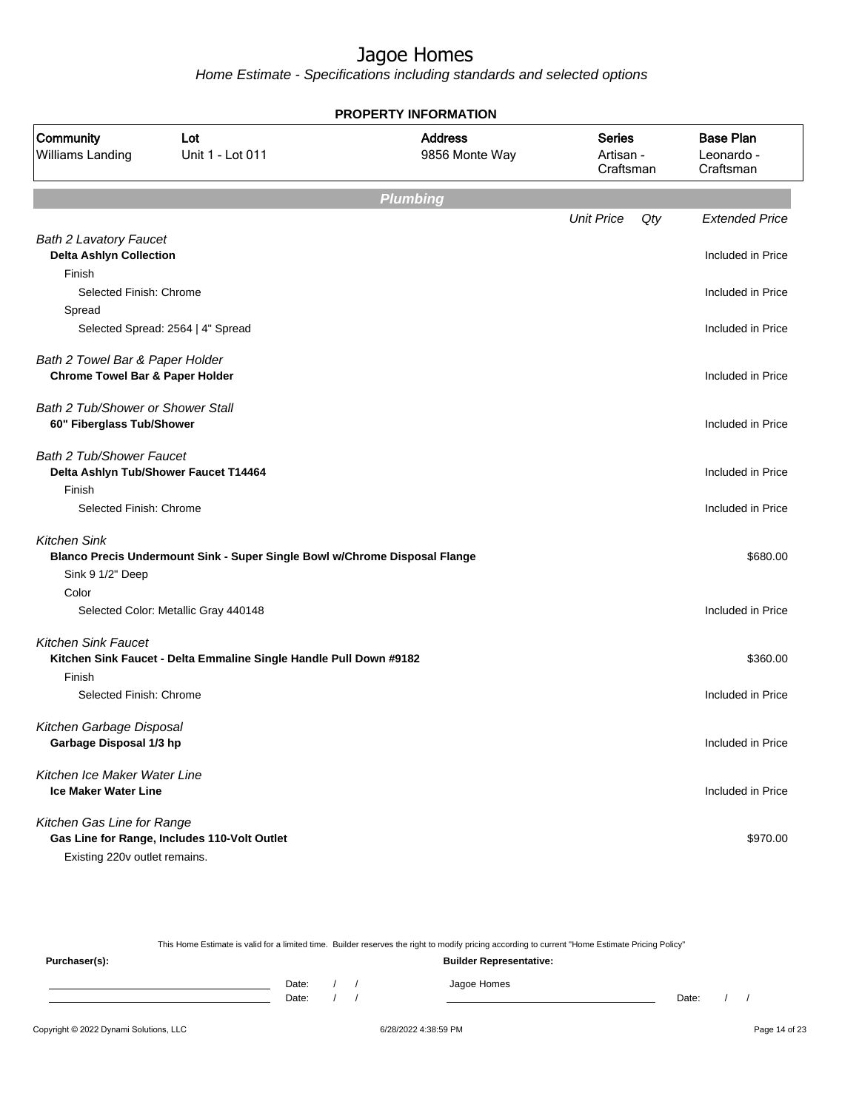|                                                                |                                                                            | <b>PROPERTY INFORMATION</b>      |                                         |                                             |
|----------------------------------------------------------------|----------------------------------------------------------------------------|----------------------------------|-----------------------------------------|---------------------------------------------|
| Community<br><b>Williams Landing</b>                           | Lot<br>Unit 1 - Lot 011                                                    | <b>Address</b><br>9856 Monte Way | <b>Series</b><br>Artisan -<br>Craftsman | <b>Base Plan</b><br>Leonardo -<br>Craftsman |
|                                                                |                                                                            | <b>Plumbing</b>                  |                                         |                                             |
|                                                                |                                                                            |                                  | <b>Unit Price</b><br>Qty                | <b>Extended Price</b>                       |
| <b>Bath 2 Lavatory Faucet</b>                                  |                                                                            |                                  |                                         |                                             |
| <b>Delta Ashlyn Collection</b>                                 |                                                                            |                                  |                                         | Included in Price                           |
| Finish                                                         |                                                                            |                                  |                                         |                                             |
| Selected Finish: Chrome                                        |                                                                            |                                  |                                         | Included in Price                           |
| Spread                                                         |                                                                            |                                  |                                         |                                             |
|                                                                | Selected Spread: 2564   4" Spread                                          |                                  |                                         | Included in Price                           |
| Bath 2 Towel Bar & Paper Holder                                |                                                                            |                                  |                                         |                                             |
| <b>Chrome Towel Bar &amp; Paper Holder</b>                     |                                                                            |                                  |                                         | Included in Price                           |
|                                                                |                                                                            |                                  |                                         |                                             |
| Bath 2 Tub/Shower or Shower Stall<br>60" Fiberglass Tub/Shower |                                                                            |                                  |                                         | Included in Price                           |
|                                                                |                                                                            |                                  |                                         |                                             |
| Bath 2 Tub/Shower Faucet                                       |                                                                            |                                  |                                         |                                             |
|                                                                | Delta Ashlyn Tub/Shower Faucet T14464                                      |                                  |                                         | Included in Price                           |
| Finish                                                         |                                                                            |                                  |                                         |                                             |
| Selected Finish: Chrome                                        |                                                                            |                                  |                                         | Included in Price                           |
| <b>Kitchen Sink</b>                                            |                                                                            |                                  |                                         |                                             |
|                                                                | Blanco Precis Undermount Sink - Super Single Bowl w/Chrome Disposal Flange |                                  |                                         | \$680.00                                    |
| Sink 9 1/2" Deep                                               |                                                                            |                                  |                                         |                                             |
| Color                                                          |                                                                            |                                  |                                         |                                             |
|                                                                | Selected Color: Metallic Gray 440148                                       |                                  |                                         | Included in Price                           |
| <b>Kitchen Sink Faucet</b>                                     |                                                                            |                                  |                                         |                                             |
|                                                                | Kitchen Sink Faucet - Delta Emmaline Single Handle Pull Down #9182         |                                  |                                         | \$360.00                                    |
| Finish                                                         |                                                                            |                                  |                                         |                                             |
| Selected Finish: Chrome                                        |                                                                            |                                  |                                         | Included in Price                           |
| Kitchen Garbage Disposal                                       |                                                                            |                                  |                                         |                                             |
| Garbage Disposal 1/3 hp                                        |                                                                            |                                  |                                         | Included in Price                           |
|                                                                |                                                                            |                                  |                                         |                                             |
| Kitchen Ice Maker Water Line                                   |                                                                            |                                  |                                         |                                             |
| <b>Ice Maker Water Line</b>                                    |                                                                            |                                  |                                         | Included in Price                           |
| Kitchen Gas Line for Range                                     |                                                                            |                                  |                                         |                                             |
|                                                                | Gas Line for Range, Includes 110-Volt Outlet                               |                                  |                                         | \$970.00                                    |
| Existing 220v outlet remains.                                  |                                                                            |                                  |                                         |                                             |

| This Home Estimate is valid for a limited time. Builder reserves the right to modify pricing according to current "Home Estimate Pricing Policy" |       |  |  |  |                                |       |  |  |
|--------------------------------------------------------------------------------------------------------------------------------------------------|-------|--|--|--|--------------------------------|-------|--|--|
| Purchaser(s):                                                                                                                                    |       |  |  |  | <b>Builder Representative:</b> |       |  |  |
|                                                                                                                                                  | Date: |  |  |  | Jagoe Homes                    |       |  |  |
|                                                                                                                                                  | Date: |  |  |  |                                | Date: |  |  |
|                                                                                                                                                  |       |  |  |  |                                |       |  |  |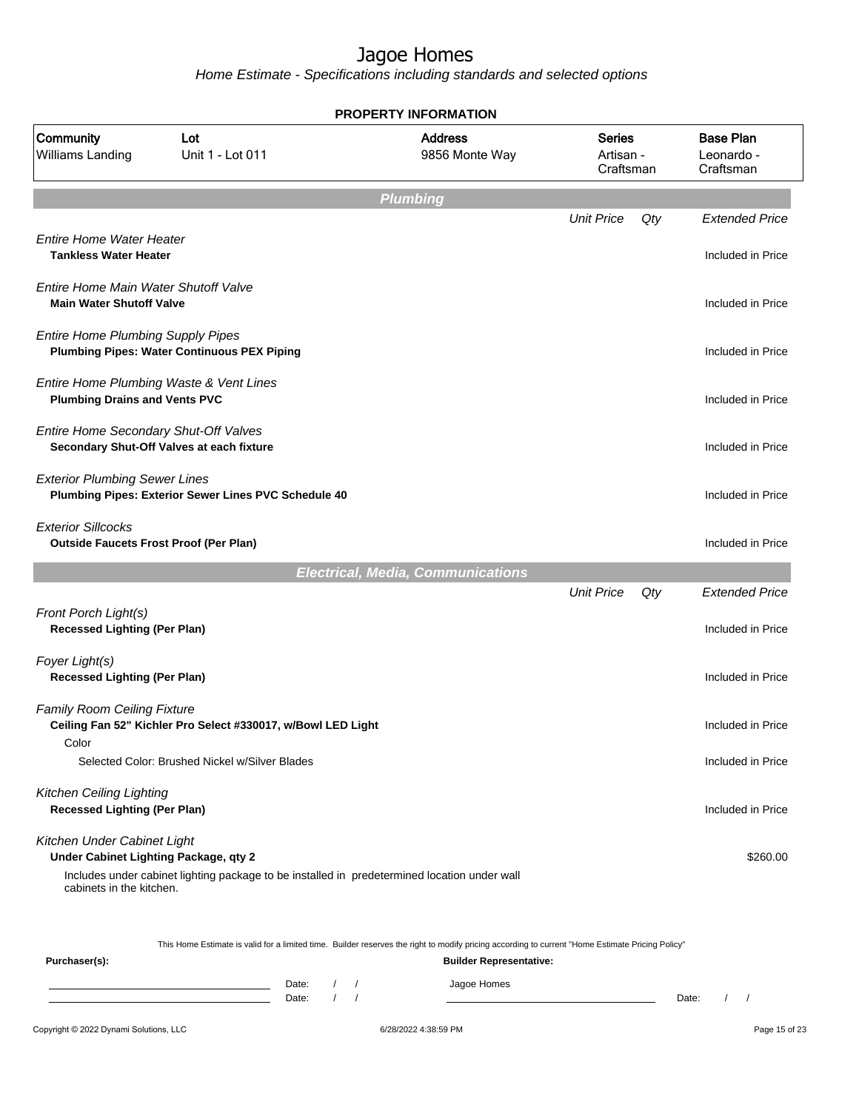Home Estimate - Specifications including standards and selected options

| <b>PROPERTY INFORMATION</b>                                                |                                                                                              |                                          |                                  |     |                                             |  |  |  |
|----------------------------------------------------------------------------|----------------------------------------------------------------------------------------------|------------------------------------------|----------------------------------|-----|---------------------------------------------|--|--|--|
| Community<br>Williams Landing                                              | Lot<br>Unit 1 - Lot 011                                                                      | <b>Address</b><br>9856 Monte Way         | Series<br>Artisan -<br>Craftsman |     | <b>Base Plan</b><br>Leonardo -<br>Craftsman |  |  |  |
|                                                                            |                                                                                              | <b>Plumbing</b>                          |                                  |     |                                             |  |  |  |
|                                                                            |                                                                                              |                                          | <b>Unit Price</b>                | Qty | <b>Extended Price</b>                       |  |  |  |
| <b>Entire Home Water Heater</b><br><b>Tankless Water Heater</b>            |                                                                                              |                                          |                                  |     | Included in Price                           |  |  |  |
| Entire Home Main Water Shutoff Valve<br><b>Main Water Shutoff Valve</b>    |                                                                                              |                                          |                                  |     | Included in Price                           |  |  |  |
| <b>Entire Home Plumbing Supply Pipes</b>                                   | <b>Plumbing Pipes: Water Continuous PEX Piping</b>                                           |                                          |                                  |     | Included in Price                           |  |  |  |
| <b>Plumbing Drains and Vents PVC</b>                                       | Entire Home Plumbing Waste & Vent Lines                                                      |                                          |                                  |     | Included in Price                           |  |  |  |
| Entire Home Secondary Shut-Off Valves                                      | Secondary Shut-Off Valves at each fixture                                                    |                                          |                                  |     | Included in Price                           |  |  |  |
| <b>Exterior Plumbing Sewer Lines</b>                                       | Plumbing Pipes: Exterior Sewer Lines PVC Schedule 40                                         |                                          |                                  |     | Included in Price                           |  |  |  |
| <b>Exterior Sillcocks</b><br><b>Outside Faucets Frost Proof (Per Plan)</b> |                                                                                              |                                          |                                  |     | Included in Price                           |  |  |  |
|                                                                            |                                                                                              | <b>Electrical, Media, Communications</b> |                                  |     |                                             |  |  |  |
|                                                                            |                                                                                              |                                          | <b>Unit Price</b>                | Qty | <b>Extended Price</b>                       |  |  |  |
| Front Porch Light(s)<br><b>Recessed Lighting (Per Plan)</b>                |                                                                                              |                                          |                                  |     | Included in Price                           |  |  |  |
| Foyer Light(s)<br><b>Recessed Lighting (Per Plan)</b>                      |                                                                                              |                                          |                                  |     | Included in Price                           |  |  |  |
| <b>Family Room Ceiling Fixture</b>                                         | Ceiling Fan 52" Kichler Pro Select #330017, w/Bowl LED Light                                 |                                          |                                  |     | Included in Price                           |  |  |  |
| Color                                                                      | Selected Color: Brushed Nickel w/Silver Blades                                               |                                          |                                  |     | Included in Price                           |  |  |  |
| <b>Kitchen Ceiling Lighting</b><br><b>Recessed Lighting (Per Plan)</b>     |                                                                                              |                                          |                                  |     | Included in Price                           |  |  |  |
| Kitchen Under Cabinet Light<br>Under Cabinet Lighting Package, qty 2       |                                                                                              |                                          |                                  |     | \$260.00                                    |  |  |  |
| cabinets in the kitchen.                                                   | Includes under cabinet lighting package to be installed in predetermined location under wall |                                          |                                  |     |                                             |  |  |  |
|                                                                            |                                                                                              |                                          |                                  |     |                                             |  |  |  |

This Home Estimate is valid for a limited time. Builder reserves the right to modify pricing according to current "Home Estimate Pricing Policy"

| Purchaser(s): |       |  | <b>Builder Representative:</b> |       |  |  |
|---------------|-------|--|--------------------------------|-------|--|--|
|               | Date: |  | Jagoe Homes                    |       |  |  |
|               | Date: |  |                                | Date: |  |  |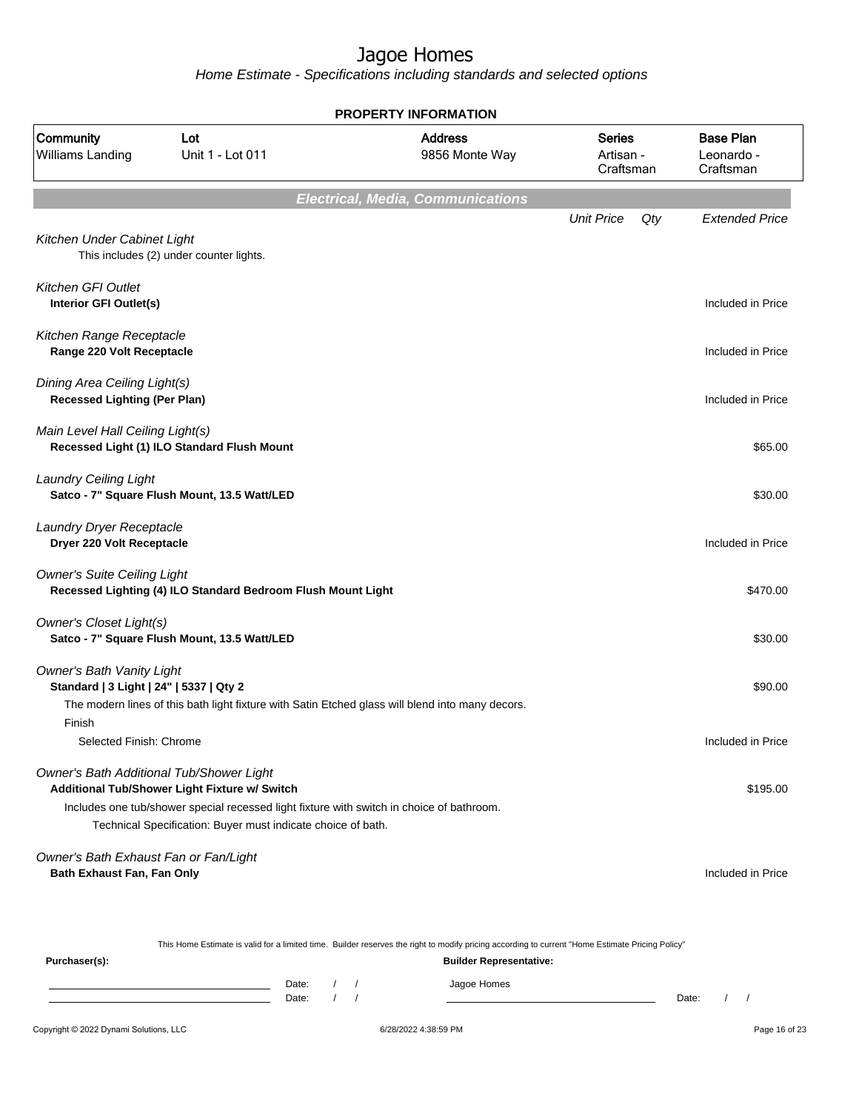|                                                                             |                                                                                                                                                                                                            | <b>PROPERTY INFORMATION</b>              |                                         |     |                                             |
|-----------------------------------------------------------------------------|------------------------------------------------------------------------------------------------------------------------------------------------------------------------------------------------------------|------------------------------------------|-----------------------------------------|-----|---------------------------------------------|
| Community<br><b>Williams Landing</b>                                        | Lot<br>Unit 1 - Lot 011                                                                                                                                                                                    | <b>Address</b><br>9856 Monte Way         | <b>Series</b><br>Artisan -<br>Craftsman |     | <b>Base Plan</b><br>Leonardo -<br>Craftsman |
|                                                                             |                                                                                                                                                                                                            | <b>Electrical, Media, Communications</b> |                                         |     |                                             |
|                                                                             |                                                                                                                                                                                                            |                                          | <b>Unit Price</b>                       | Qty | <b>Extended Price</b>                       |
| Kitchen Under Cabinet Light                                                 | This includes (2) under counter lights.                                                                                                                                                                    |                                          |                                         |     |                                             |
| <b>Kitchen GFI Outlet</b><br>Interior GFI Outlet(s)                         |                                                                                                                                                                                                            |                                          |                                         |     | Included in Price                           |
| Kitchen Range Receptacle<br>Range 220 Volt Receptacle                       |                                                                                                                                                                                                            |                                          |                                         |     | Included in Price                           |
| Dining Area Ceiling Light(s)<br><b>Recessed Lighting (Per Plan)</b>         |                                                                                                                                                                                                            |                                          |                                         |     | Included in Price                           |
| Main Level Hall Ceiling Light(s)                                            | Recessed Light (1) ILO Standard Flush Mount                                                                                                                                                                |                                          |                                         |     | \$65.00                                     |
| <b>Laundry Ceiling Light</b>                                                | Satco - 7" Square Flush Mount, 13.5 Watt/LED                                                                                                                                                               |                                          |                                         |     | \$30.00                                     |
| Laundry Dryer Receptacle<br>Dryer 220 Volt Receptacle                       |                                                                                                                                                                                                            |                                          |                                         |     | Included in Price                           |
| <b>Owner's Suite Ceiling Light</b>                                          | Recessed Lighting (4) ILO Standard Bedroom Flush Mount Light                                                                                                                                               |                                          |                                         |     | \$470.00                                    |
| Owner's Closet Light(s)                                                     | Satco - 7" Square Flush Mount, 13.5 Watt/LED                                                                                                                                                               |                                          |                                         |     | \$30.00                                     |
| <b>Owner's Bath Vanity Light</b><br>Standard   3 Light   24"   5337   Qty 2 |                                                                                                                                                                                                            |                                          |                                         |     | \$90.00                                     |
| Finish<br>Selected Finish: Chrome                                           | The modern lines of this bath light fixture with Satin Etched glass will blend into many decors.                                                                                                           |                                          |                                         |     | Included in Price                           |
|                                                                             |                                                                                                                                                                                                            |                                          |                                         |     |                                             |
| Owner's Bath Additional Tub/Shower Light                                    | Additional Tub/Shower Light Fixture w/ Switch<br>Includes one tub/shower special recessed light fixture with switch in choice of bathroom.<br>Technical Specification: Buyer must indicate choice of bath. |                                          |                                         |     | \$195.00                                    |
| Owner's Bath Exhaust Fan or Fan/Light<br>Bath Exhaust Fan, Fan Only         |                                                                                                                                                                                                            |                                          |                                         |     | Included in Price                           |
|                                                                             |                                                                                                                                                                                                            |                                          |                                         |     |                                             |

|               |       |  | This Home Estimate is valid for a limited time. Builder reserves the right to modify pricing according to current "Home Estimate Pricing Policy" |       |  |
|---------------|-------|--|--------------------------------------------------------------------------------------------------------------------------------------------------|-------|--|
| Purchaser(s): |       |  | <b>Builder Representative:</b>                                                                                                                   |       |  |
|               | Date: |  | Jagoe Homes                                                                                                                                      |       |  |
|               | Date: |  |                                                                                                                                                  | Date: |  |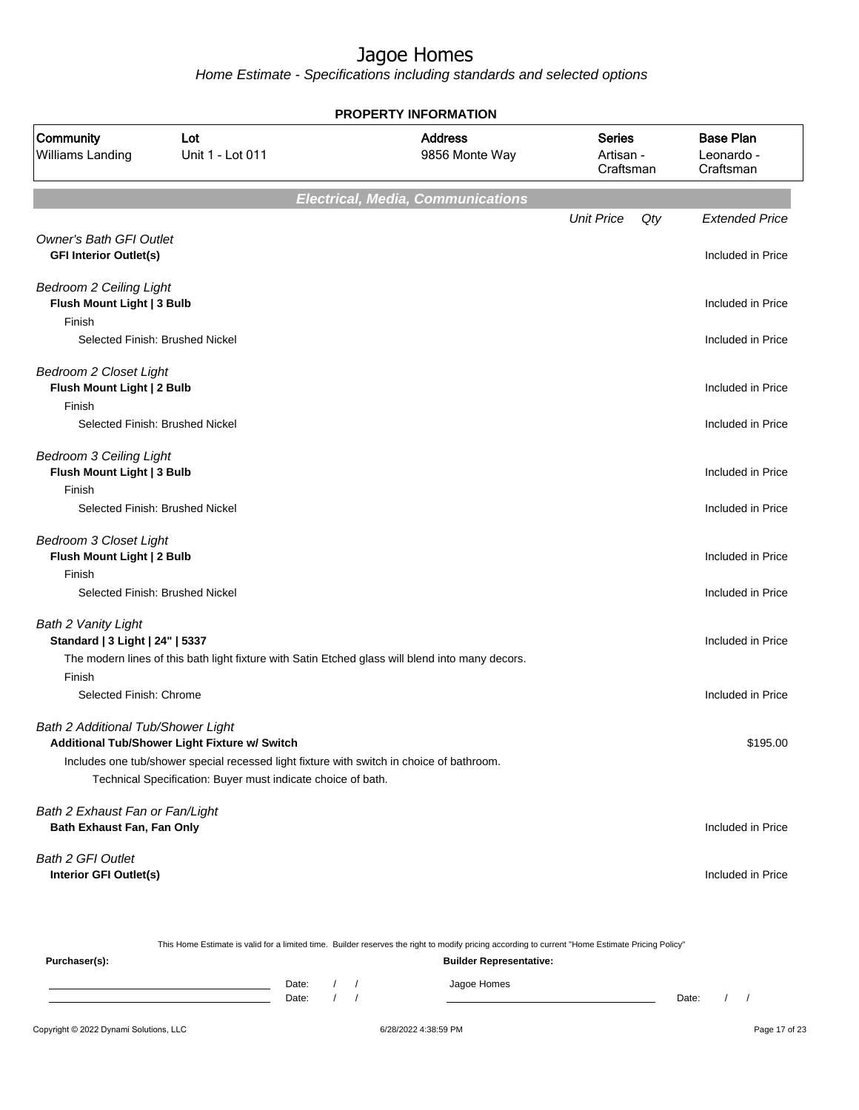|                                                                        |                                                                                                                                                           | <b>PROPERTY INFORMATION</b>                                                                      |                                         |     |                                             |
|------------------------------------------------------------------------|-----------------------------------------------------------------------------------------------------------------------------------------------------------|--------------------------------------------------------------------------------------------------|-----------------------------------------|-----|---------------------------------------------|
| Community<br><b>Williams Landing</b>                                   | Lot<br>Unit 1 - Lot 011                                                                                                                                   | <b>Address</b><br>9856 Monte Way                                                                 | <b>Series</b><br>Artisan -<br>Craftsman |     | <b>Base Plan</b><br>Leonardo -<br>Craftsman |
|                                                                        |                                                                                                                                                           | <b>Electrical, Media, Communications</b>                                                         |                                         |     |                                             |
|                                                                        |                                                                                                                                                           |                                                                                                  | <b>Unit Price</b>                       | Qty | <b>Extended Price</b>                       |
| <b>Owner's Bath GFI Outlet</b><br><b>GFI Interior Outlet(s)</b>        |                                                                                                                                                           |                                                                                                  |                                         |     | Included in Price                           |
| Bedroom 2 Ceiling Light<br>Flush Mount Light   3 Bulb                  |                                                                                                                                                           |                                                                                                  |                                         |     | Included in Price                           |
| Finish<br>Selected Finish: Brushed Nickel                              |                                                                                                                                                           |                                                                                                  |                                         |     | Included in Price                           |
| <b>Bedroom 2 Closet Light</b><br>Flush Mount Light   2 Bulb            |                                                                                                                                                           |                                                                                                  |                                         |     | Included in Price                           |
| Finish<br>Selected Finish: Brushed Nickel                              |                                                                                                                                                           |                                                                                                  |                                         |     | Included in Price                           |
| <b>Bedroom 3 Ceiling Light</b><br>Flush Mount Light   3 Bulb<br>Finish |                                                                                                                                                           |                                                                                                  |                                         |     | Included in Price                           |
|                                                                        | Selected Finish: Brushed Nickel                                                                                                                           |                                                                                                  |                                         |     | Included in Price                           |
| <b>Bedroom 3 Closet Light</b><br>Flush Mount Light   2 Bulb<br>Finish  |                                                                                                                                                           |                                                                                                  |                                         |     | Included in Price                           |
|                                                                        | Selected Finish: Brushed Nickel                                                                                                                           |                                                                                                  |                                         |     | Included in Price                           |
| <b>Bath 2 Vanity Light</b><br>Standard   3 Light   24"   5337          |                                                                                                                                                           | The modern lines of this bath light fixture with Satin Etched glass will blend into many decors. |                                         |     | Included in Price                           |
| Finish<br>Selected Finish: Chrome                                      |                                                                                                                                                           |                                                                                                  |                                         |     | Included in Price                           |
| Bath 2 Additional Tub/Shower Light                                     | Additional Tub/Shower Light Fixture w/ Switch                                                                                                             |                                                                                                  |                                         |     | \$195.00                                    |
|                                                                        | Includes one tub/shower special recessed light fixture with switch in choice of bathroom.<br>Technical Specification: Buyer must indicate choice of bath. |                                                                                                  |                                         |     |                                             |
| Bath 2 Exhaust Fan or Fan/Light<br>Bath Exhaust Fan, Fan Only          |                                                                                                                                                           |                                                                                                  |                                         |     | Included in Price                           |
| <b>Bath 2 GFI Outlet</b><br>Interior GFI Outlet(s)                     |                                                                                                                                                           |                                                                                                  |                                         |     | Included in Price                           |

|               |       |  | This Home Estimate is valid for a limited time. Builder reserves the right to modify pricing according to current "Home Estimate Pricing Policy" |       |  |
|---------------|-------|--|--------------------------------------------------------------------------------------------------------------------------------------------------|-------|--|
| Purchaser(s): |       |  | <b>Builder Representative:</b>                                                                                                                   |       |  |
|               | Date: |  | Jagoe Homes                                                                                                                                      |       |  |
|               | Date: |  |                                                                                                                                                  | Date: |  |
|               |       |  |                                                                                                                                                  |       |  |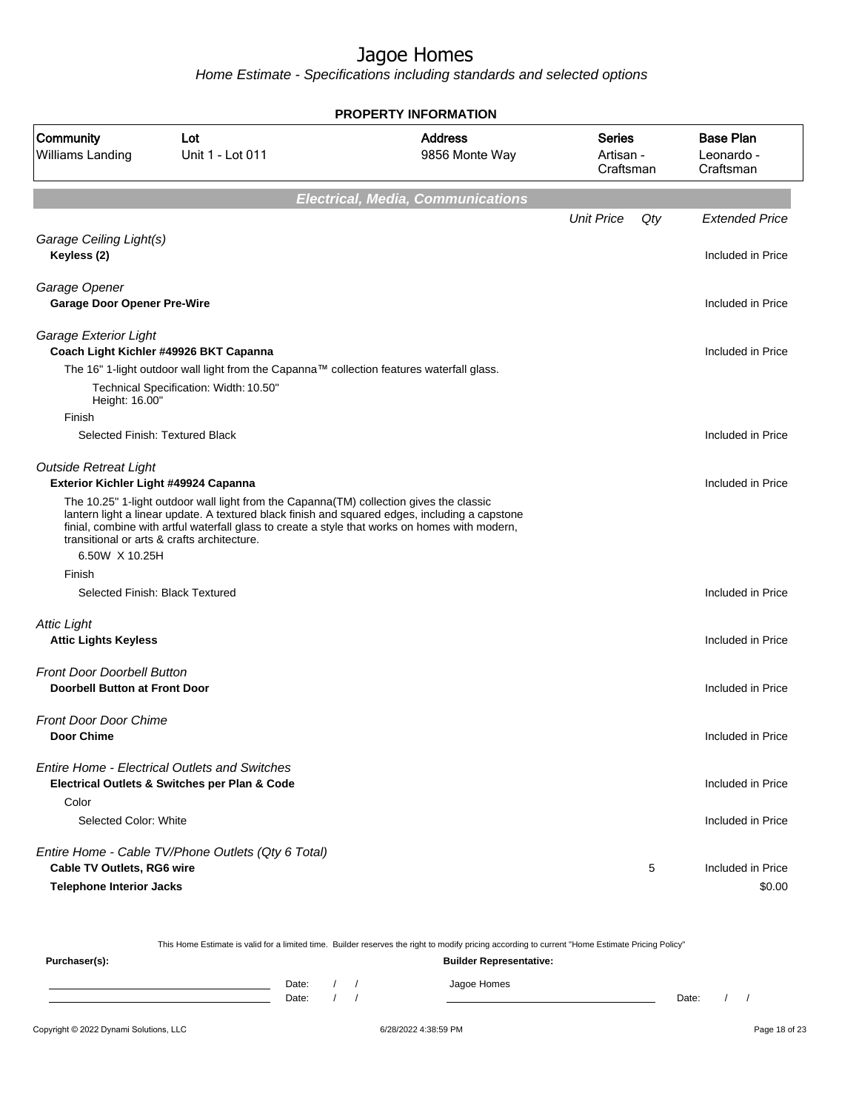|                                                                           |                                                                                                                                                                                                                                                                                                                                             | <b>PROPERTY INFORMATION</b>              |                                  |     |                                             |
|---------------------------------------------------------------------------|---------------------------------------------------------------------------------------------------------------------------------------------------------------------------------------------------------------------------------------------------------------------------------------------------------------------------------------------|------------------------------------------|----------------------------------|-----|---------------------------------------------|
| Community<br>Williams Landing                                             | Lot<br>Unit 1 - Lot 011                                                                                                                                                                                                                                                                                                                     | <b>Address</b><br>9856 Monte Way         | Series<br>Artisan -<br>Craftsman |     | <b>Base Plan</b><br>Leonardo -<br>Craftsman |
|                                                                           |                                                                                                                                                                                                                                                                                                                                             | <b>Electrical, Media, Communications</b> |                                  |     |                                             |
|                                                                           |                                                                                                                                                                                                                                                                                                                                             |                                          | <b>Unit Price</b>                | Qty | <b>Extended Price</b>                       |
| Garage Ceiling Light(s)<br>Keyless (2)                                    |                                                                                                                                                                                                                                                                                                                                             |                                          |                                  |     | Included in Price                           |
| Garage Opener<br><b>Garage Door Opener Pre-Wire</b>                       |                                                                                                                                                                                                                                                                                                                                             |                                          |                                  |     | Included in Price                           |
| Garage Exterior Light                                                     | Coach Light Kichler #49926 BKT Capanna                                                                                                                                                                                                                                                                                                      |                                          |                                  |     | Included in Price                           |
|                                                                           | The 16" 1-light outdoor wall light from the Capanna™ collection features waterfall glass.                                                                                                                                                                                                                                                   |                                          |                                  |     |                                             |
| Height: 16.00"                                                            | Technical Specification: Width: 10.50"                                                                                                                                                                                                                                                                                                      |                                          |                                  |     |                                             |
| Finish                                                                    | Selected Finish: Textured Black                                                                                                                                                                                                                                                                                                             |                                          |                                  |     | Included in Price                           |
| <b>Outside Retreat Light</b><br>Exterior Kichler Light #49924 Capanna     |                                                                                                                                                                                                                                                                                                                                             |                                          |                                  |     | Included in Price                           |
|                                                                           | The 10.25" 1-light outdoor wall light from the Capanna (TM) collection gives the classic<br>lantern light a linear update. A textured black finish and squared edges, including a capstone<br>finial, combine with artful waterfall glass to create a style that works on homes with modern,<br>transitional or arts & crafts architecture. |                                          |                                  |     |                                             |
| 6.50W X 10.25H                                                            |                                                                                                                                                                                                                                                                                                                                             |                                          |                                  |     |                                             |
| Finish                                                                    |                                                                                                                                                                                                                                                                                                                                             |                                          |                                  |     |                                             |
|                                                                           | Selected Finish: Black Textured                                                                                                                                                                                                                                                                                                             |                                          |                                  |     | Included in Price                           |
| <b>Attic Light</b><br><b>Attic Lights Keyless</b>                         |                                                                                                                                                                                                                                                                                                                                             |                                          |                                  |     | Included in Price                           |
| <b>Front Door Doorbell Button</b><br><b>Doorbell Button at Front Door</b> |                                                                                                                                                                                                                                                                                                                                             |                                          |                                  |     | Included in Price                           |
| <b>Front Door Door Chime</b><br><b>Door Chime</b>                         |                                                                                                                                                                                                                                                                                                                                             |                                          |                                  |     | Included in Price                           |
|                                                                           | <b>Entire Home - Electrical Outlets and Switches</b><br>Electrical Outlets & Switches per Plan & Code                                                                                                                                                                                                                                       |                                          |                                  |     | Included in Price                           |
| Color<br>Selected Color: White                                            |                                                                                                                                                                                                                                                                                                                                             |                                          |                                  |     | Included in Price                           |
| Cable TV Outlets, RG6 wire<br><b>Telephone Interior Jacks</b>             | Entire Home - Cable TV/Phone Outlets (Qty 6 Total)                                                                                                                                                                                                                                                                                          |                                          |                                  | 5   | Included in Price<br>\$0.00                 |

|               |       | This Home Estimate is valid for a limited time. Builder reserves the right to modify pricing according to current "Home Estimate Pricing Policy" |       |
|---------------|-------|--------------------------------------------------------------------------------------------------------------------------------------------------|-------|
| Purchaser(s): |       | <b>Builder Representative:</b>                                                                                                                   |       |
|               | Date: | Jagoe Homes                                                                                                                                      |       |
|               | Date: |                                                                                                                                                  | Date: |
|               |       |                                                                                                                                                  |       |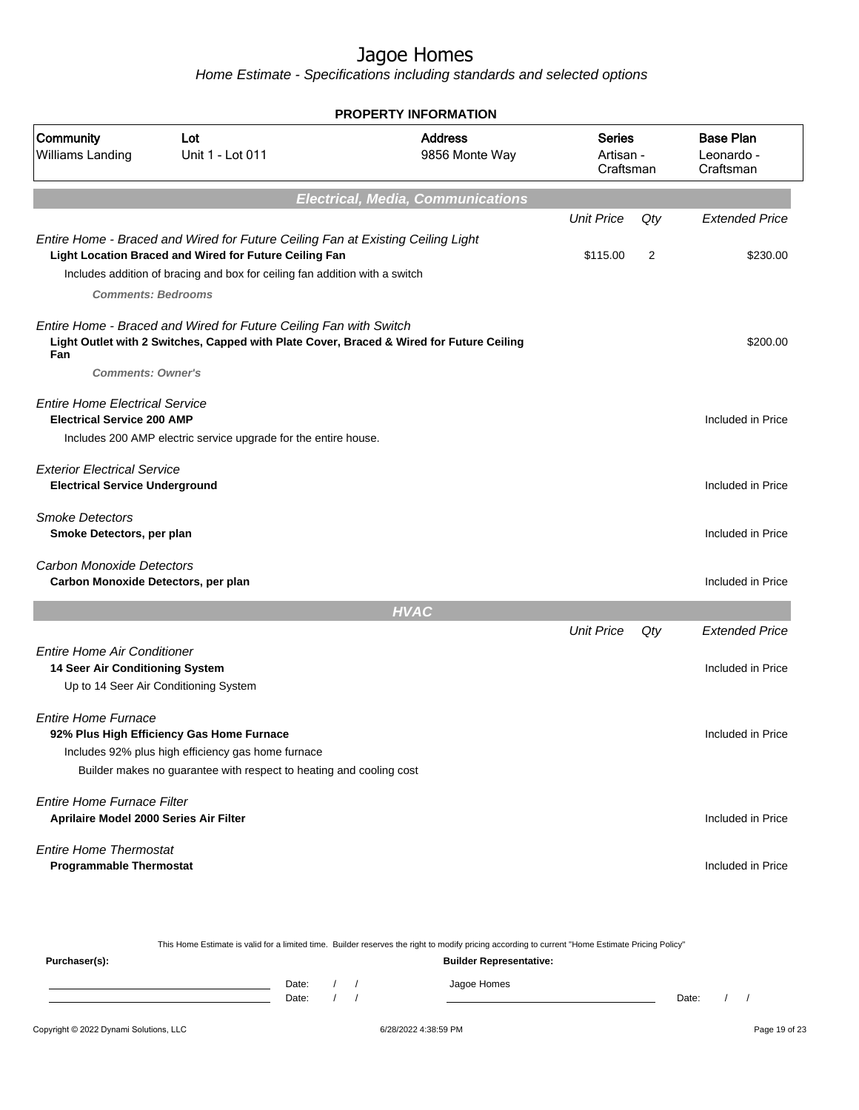|                                                                             |                                                                                                                                                                                                                          | <b>PROPERTY INFORMATION</b>                                                              |                                         |        |                                             |
|-----------------------------------------------------------------------------|--------------------------------------------------------------------------------------------------------------------------------------------------------------------------------------------------------------------------|------------------------------------------------------------------------------------------|-----------------------------------------|--------|---------------------------------------------|
| Community<br>Williams Landing                                               | Lot<br>Unit 1 - Lot 011                                                                                                                                                                                                  | <b>Address</b><br>9856 Monte Way                                                         | <b>Series</b><br>Artisan -<br>Craftsman |        | <b>Base Plan</b><br>Leonardo -<br>Craftsman |
|                                                                             |                                                                                                                                                                                                                          | <b>Electrical, Media, Communications</b>                                                 |                                         |        |                                             |
|                                                                             |                                                                                                                                                                                                                          |                                                                                          | <b>Unit Price</b>                       | $Q$ ty | <b>Extended Price</b>                       |
| <b>Comments: Bedrooms</b>                                                   | Entire Home - Braced and Wired for Future Ceiling Fan at Existing Ceiling Light<br>Light Location Braced and Wired for Future Ceiling Fan<br>Includes addition of bracing and box for ceiling fan addition with a switch |                                                                                          | \$115.00                                | 2      | \$230.00                                    |
| Fan<br><b>Comments: Owner's</b>                                             | Entire Home - Braced and Wired for Future Ceiling Fan with Switch                                                                                                                                                        | Light Outlet with 2 Switches, Capped with Plate Cover, Braced & Wired for Future Ceiling |                                         |        | \$200.00                                    |
| <b>Entire Home Electrical Service</b><br><b>Electrical Service 200 AMP</b>  | Includes 200 AMP electric service upgrade for the entire house.                                                                                                                                                          |                                                                                          |                                         |        | Included in Price                           |
| <b>Exterior Electrical Service</b><br><b>Electrical Service Underground</b> |                                                                                                                                                                                                                          |                                                                                          |                                         |        | Included in Price                           |
| <b>Smoke Detectors</b><br>Smoke Detectors, per plan                         |                                                                                                                                                                                                                          |                                                                                          |                                         |        | Included in Price                           |
| Carbon Monoxide Detectors<br>Carbon Monoxide Detectors, per plan            |                                                                                                                                                                                                                          |                                                                                          |                                         |        | Included in Price                           |
|                                                                             |                                                                                                                                                                                                                          | <b>HVAC</b>                                                                              |                                         |        |                                             |
|                                                                             |                                                                                                                                                                                                                          |                                                                                          | <b>Unit Price</b>                       | Qty    | <b>Extended Price</b>                       |
| <b>Entire Home Air Conditioner</b><br>14 Seer Air Conditioning System       | Up to 14 Seer Air Conditioning System                                                                                                                                                                                    |                                                                                          |                                         |        | Included in Price                           |
| <b>Entire Home Furnace</b>                                                  | 92% Plus High Efficiency Gas Home Furnace<br>Includes 92% plus high efficiency gas home furnace<br>Builder makes no guarantee with respect to heating and cooling cost                                                   |                                                                                          |                                         |        | Included in Price                           |
| <b>Entire Home Furnace Filter</b><br>Aprilaire Model 2000 Series Air Filter |                                                                                                                                                                                                                          |                                                                                          |                                         |        | Included in Price                           |
| <b>Entire Home Thermostat</b><br><b>Programmable Thermostat</b>             |                                                                                                                                                                                                                          |                                                                                          |                                         |        | Included in Price                           |

|               |       |  | This Home Estimate is valid for a limited time. Builder reserves the right to modify pricing according to current "Home Estimate Pricing Policy" |       |  |
|---------------|-------|--|--------------------------------------------------------------------------------------------------------------------------------------------------|-------|--|
| Purchaser(s): |       |  | <b>Builder Representative:</b>                                                                                                                   |       |  |
|               | Date: |  | Jagoe Homes                                                                                                                                      |       |  |
|               | Date: |  |                                                                                                                                                  | Date: |  |
|               |       |  |                                                                                                                                                  |       |  |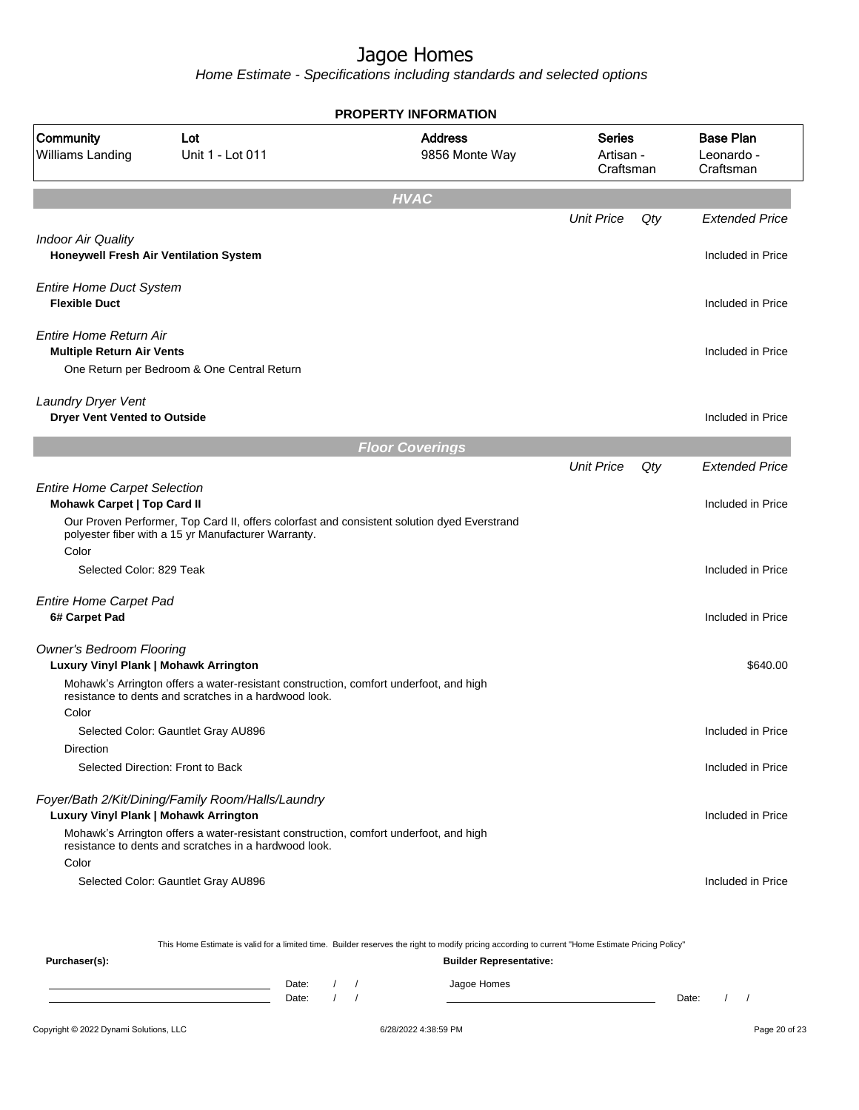Home Estimate - Specifications including standards and selected options

|                                                                           |                                                                                                                                                    | <b>PROPERTY INFORMATION</b>                                                                                                                      |                                         |     |                                             |
|---------------------------------------------------------------------------|----------------------------------------------------------------------------------------------------------------------------------------------------|--------------------------------------------------------------------------------------------------------------------------------------------------|-----------------------------------------|-----|---------------------------------------------|
| Community<br><b>Williams Landing</b>                                      | Lot<br>Unit 1 - Lot 011                                                                                                                            | <b>Address</b><br>9856 Monte Way                                                                                                                 | <b>Series</b><br>Artisan -<br>Craftsman |     | <b>Base Plan</b><br>Leonardo -<br>Craftsman |
|                                                                           |                                                                                                                                                    | <b>HVAC</b>                                                                                                                                      |                                         |     |                                             |
|                                                                           |                                                                                                                                                    |                                                                                                                                                  | <b>Unit Price</b>                       | Qty | <b>Extended Price</b>                       |
| <b>Indoor Air Quality</b>                                                 | Honeywell Fresh Air Ventilation System                                                                                                             |                                                                                                                                                  |                                         |     | Included in Price                           |
| <b>Entire Home Duct System</b><br><b>Flexible Duct</b>                    |                                                                                                                                                    |                                                                                                                                                  |                                         |     | Included in Price                           |
| Entire Home Return Air<br><b>Multiple Return Air Vents</b>                | One Return per Bedroom & One Central Return                                                                                                        |                                                                                                                                                  |                                         |     | Included in Price                           |
| Laundry Dryer Vent<br><b>Dryer Vent Vented to Outside</b>                 |                                                                                                                                                    |                                                                                                                                                  |                                         |     | Included in Price                           |
|                                                                           |                                                                                                                                                    | <b>Floor Coverings</b>                                                                                                                           |                                         |     |                                             |
|                                                                           |                                                                                                                                                    |                                                                                                                                                  | <b>Unit Price</b>                       | Qty | <b>Extended Price</b>                       |
| <b>Entire Home Carpet Selection</b><br><b>Mohawk Carpet   Top Card II</b> |                                                                                                                                                    |                                                                                                                                                  |                                         |     | Included in Price                           |
|                                                                           | Our Proven Performer, Top Card II, offers colorfast and consistent solution dyed Everstrand<br>polyester fiber with a 15 yr Manufacturer Warranty. |                                                                                                                                                  |                                         |     |                                             |
| Color<br>Selected Color: 829 Teak                                         |                                                                                                                                                    |                                                                                                                                                  |                                         |     | Included in Price                           |
| <b>Entire Home Carpet Pad</b><br>6# Carpet Pad                            |                                                                                                                                                    |                                                                                                                                                  |                                         |     | Included in Price                           |
| <b>Owner's Bedroom Flooring</b><br>Luxury Vinyl Plank   Mohawk Arrington  |                                                                                                                                                    |                                                                                                                                                  |                                         |     | \$640.00                                    |
| Color                                                                     | Mohawk's Arrington offers a water-resistant construction, comfort underfoot, and high<br>resistance to dents and scratches in a hardwood look.     |                                                                                                                                                  |                                         |     |                                             |
|                                                                           | Selected Color: Gauntlet Gray AU896                                                                                                                |                                                                                                                                                  |                                         |     | Included in Price                           |
| Direction                                                                 |                                                                                                                                                    |                                                                                                                                                  |                                         |     |                                             |
|                                                                           | Selected Direction: Front to Back                                                                                                                  |                                                                                                                                                  |                                         |     | Included in Price                           |
| Luxury Vinyl Plank   Mohawk Arrington                                     | Foyer/Bath 2/Kit/Dining/Family Room/Halls/Laundry                                                                                                  |                                                                                                                                                  |                                         |     | Included in Price                           |
|                                                                           | Mohawk's Arrington offers a water-resistant construction, comfort underfoot, and high<br>resistance to dents and scratches in a hardwood look.     |                                                                                                                                                  |                                         |     |                                             |
| Color                                                                     | Selected Color: Gauntlet Gray AU896                                                                                                                |                                                                                                                                                  |                                         |     | Included in Price                           |
|                                                                           |                                                                                                                                                    | This Home Estimate is valid for a limited time. Builder reserves the right to modify pricing according to current "Home Estimate Pricing Policy" |                                         |     |                                             |

**Purchaser(s): Builder Representative:**

Date: / / Jagoe Homes<br>Date: / / Jagoe Homes Date: / / Date: / /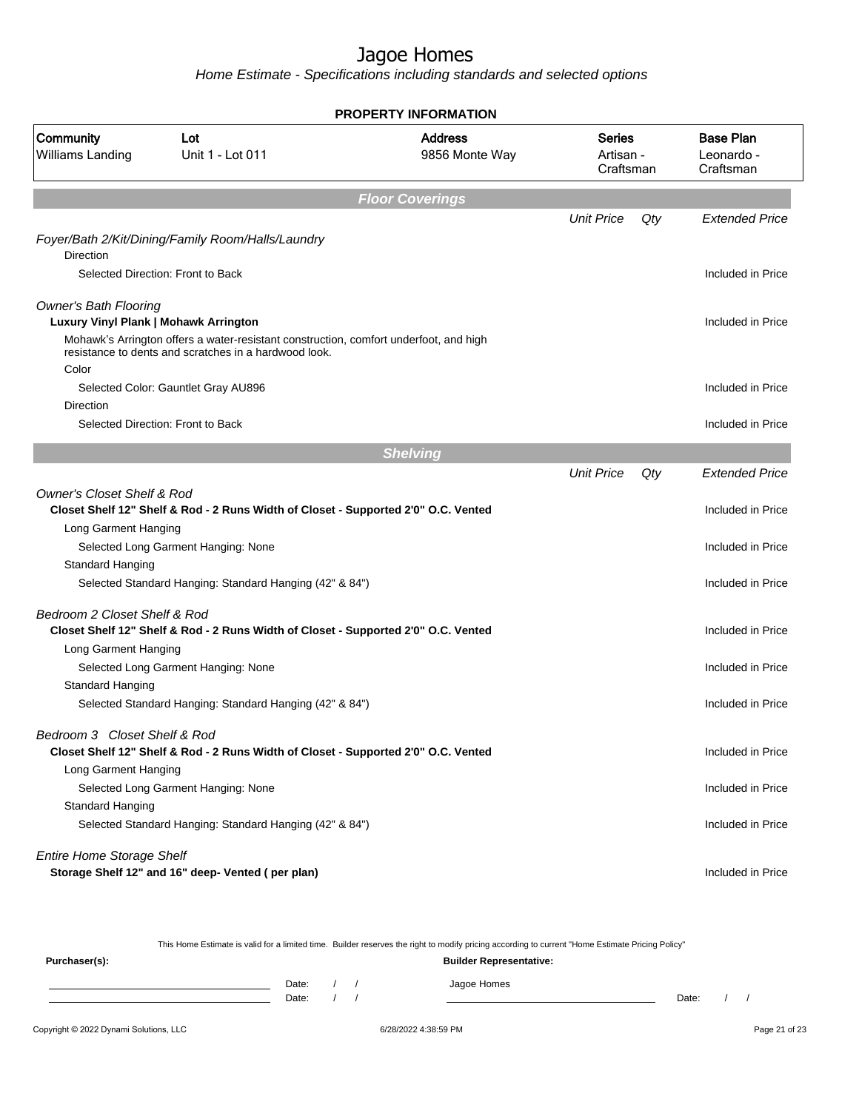| <b>PROPERTY INFORMATION</b>                 |                                                                                                                                                |                                  |                                         |     |                                             |  |  |  |  |
|---------------------------------------------|------------------------------------------------------------------------------------------------------------------------------------------------|----------------------------------|-----------------------------------------|-----|---------------------------------------------|--|--|--|--|
| <b>Community</b><br><b>Williams Landing</b> | Lot<br>Unit 1 - Lot 011                                                                                                                        | <b>Address</b><br>9856 Monte Way | <b>Series</b><br>Artisan -<br>Craftsman |     | <b>Base Plan</b><br>Leonardo -<br>Craftsman |  |  |  |  |
|                                             |                                                                                                                                                | <b>Floor Coverings</b>           |                                         |     |                                             |  |  |  |  |
|                                             |                                                                                                                                                |                                  | <b>Unit Price</b>                       | Qty | <b>Extended Price</b>                       |  |  |  |  |
| Direction                                   | Foyer/Bath 2/Kit/Dining/Family Room/Halls/Laundry                                                                                              |                                  |                                         |     |                                             |  |  |  |  |
|                                             | Selected Direction: Front to Back                                                                                                              |                                  |                                         |     | Included in Price                           |  |  |  |  |
|                                             |                                                                                                                                                |                                  |                                         |     |                                             |  |  |  |  |
| <b>Owner's Bath Flooring</b>                |                                                                                                                                                |                                  |                                         |     |                                             |  |  |  |  |
| Luxury Vinyl Plank   Mohawk Arrington       |                                                                                                                                                |                                  |                                         |     | Included in Price                           |  |  |  |  |
|                                             | Mohawk's Arrington offers a water-resistant construction, comfort underfoot, and high<br>resistance to dents and scratches in a hardwood look. |                                  |                                         |     |                                             |  |  |  |  |
| Color                                       | Selected Color: Gauntlet Gray AU896                                                                                                            |                                  |                                         |     | Included in Price                           |  |  |  |  |
| <b>Direction</b>                            |                                                                                                                                                |                                  |                                         |     |                                             |  |  |  |  |
|                                             | Selected Direction: Front to Back                                                                                                              |                                  |                                         |     | Included in Price                           |  |  |  |  |
|                                             |                                                                                                                                                |                                  |                                         |     |                                             |  |  |  |  |
|                                             |                                                                                                                                                | <b>Shelving</b>                  |                                         |     |                                             |  |  |  |  |
|                                             |                                                                                                                                                |                                  | <b>Unit Price</b>                       | Qty | <b>Extended Price</b>                       |  |  |  |  |
| <b>Owner's Closet Shelf &amp; Rod</b>       | Closet Shelf 12" Shelf & Rod - 2 Runs Width of Closet - Supported 2'0" O.C. Vented                                                             |                                  |                                         |     | Included in Price                           |  |  |  |  |
| Long Garment Hanging                        |                                                                                                                                                |                                  |                                         |     |                                             |  |  |  |  |
|                                             | Selected Long Garment Hanging: None                                                                                                            |                                  |                                         |     | Included in Price                           |  |  |  |  |
| Standard Hanging                            |                                                                                                                                                |                                  |                                         |     |                                             |  |  |  |  |
|                                             | Selected Standard Hanging: Standard Hanging (42" & 84")                                                                                        |                                  |                                         |     | Included in Price                           |  |  |  |  |
| Bedroom 2 Closet Shelf & Rod                |                                                                                                                                                |                                  |                                         |     |                                             |  |  |  |  |
|                                             | Closet Shelf 12" Shelf & Rod - 2 Runs Width of Closet - Supported 2'0" O.C. Vented                                                             |                                  |                                         |     | Included in Price                           |  |  |  |  |
| Long Garment Hanging                        |                                                                                                                                                |                                  |                                         |     |                                             |  |  |  |  |
|                                             | Selected Long Garment Hanging: None                                                                                                            |                                  |                                         |     | Included in Price                           |  |  |  |  |
| Standard Hanging                            |                                                                                                                                                |                                  |                                         |     |                                             |  |  |  |  |
|                                             | Selected Standard Hanging: Standard Hanging (42" & 84")                                                                                        |                                  |                                         |     | Included in Price                           |  |  |  |  |
| Bedroom 3 Closet Shelf & Rod                |                                                                                                                                                |                                  |                                         |     |                                             |  |  |  |  |
|                                             | Closet Shelf 12" Shelf & Rod - 2 Runs Width of Closet - Supported 2'0" O.C. Vented                                                             |                                  |                                         |     | Included in Price                           |  |  |  |  |
| Long Garment Hanging                        |                                                                                                                                                |                                  |                                         |     |                                             |  |  |  |  |
|                                             | Selected Long Garment Hanging: None                                                                                                            |                                  |                                         |     | Included in Price                           |  |  |  |  |
| Standard Hanging                            |                                                                                                                                                |                                  |                                         |     |                                             |  |  |  |  |
|                                             | Selected Standard Hanging: Standard Hanging (42" & 84")                                                                                        |                                  |                                         |     | Included in Price                           |  |  |  |  |
| <b>Entire Home Storage Shelf</b>            |                                                                                                                                                |                                  |                                         |     |                                             |  |  |  |  |
|                                             | Storage Shelf 12" and 16" deep- Vented (per plan)                                                                                              |                                  |                                         |     | Included in Price                           |  |  |  |  |
|                                             |                                                                                                                                                |                                  |                                         |     |                                             |  |  |  |  |

|               |       |  | This Home Estimate is valid for a limited time. Builder reserves the right to modify pricing according to current "Home Estimate Pricing Policy" |       |  |
|---------------|-------|--|--------------------------------------------------------------------------------------------------------------------------------------------------|-------|--|
| Purchaser(s): |       |  | <b>Builder Representative:</b>                                                                                                                   |       |  |
|               | Date: |  | Jagoe Homes                                                                                                                                      |       |  |
|               | Date: |  |                                                                                                                                                  | Date: |  |
|               |       |  |                                                                                                                                                  |       |  |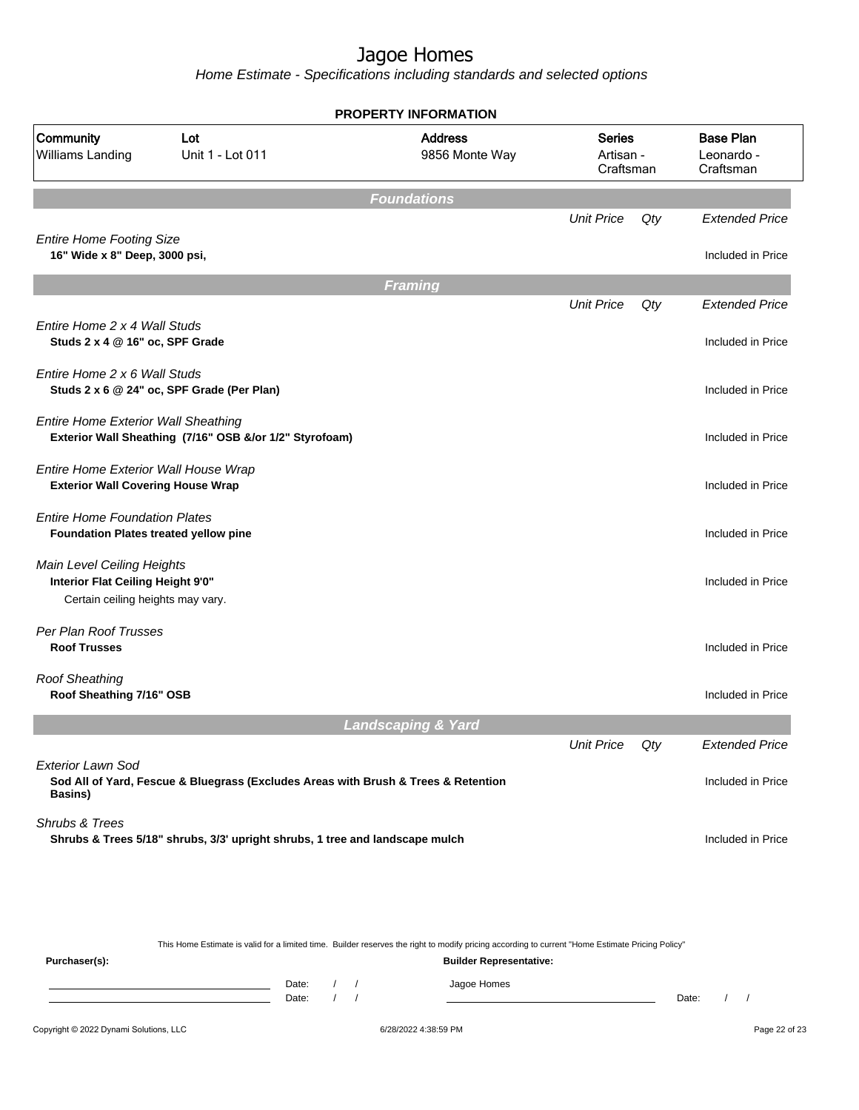Home Estimate - Specifications including standards and selected options

| <b>PROPERTY INFORMATION</b>                                                                                               |                                                                              |                                  |                                         |     |                                             |  |  |  |  |
|---------------------------------------------------------------------------------------------------------------------------|------------------------------------------------------------------------------|----------------------------------|-----------------------------------------|-----|---------------------------------------------|--|--|--|--|
| Community<br>Williams Landing                                                                                             | Lot<br>Unit 1 - Lot 011                                                      | <b>Address</b><br>9856 Monte Way | <b>Series</b><br>Artisan -<br>Craftsman |     | <b>Base Plan</b><br>Leonardo -<br>Craftsman |  |  |  |  |
| <b>Foundations</b>                                                                                                        |                                                                              |                                  |                                         |     |                                             |  |  |  |  |
|                                                                                                                           |                                                                              |                                  | <b>Unit Price</b>                       | Qty | <b>Extended Price</b>                       |  |  |  |  |
| <b>Entire Home Footing Size</b><br>16" Wide x 8" Deep, 3000 psi,                                                          |                                                                              |                                  |                                         |     | Included in Price                           |  |  |  |  |
|                                                                                                                           |                                                                              | Framing                          |                                         |     |                                             |  |  |  |  |
|                                                                                                                           |                                                                              |                                  | <b>Unit Price</b>                       | Qty | <b>Extended Price</b>                       |  |  |  |  |
| Entire Home 2 x 4 Wall Studs<br>Studs 2 x 4 @ 16" oc, SPF Grade                                                           |                                                                              |                                  |                                         |     | Included in Price                           |  |  |  |  |
| Entire Home 2 x 6 Wall Studs                                                                                              | Studs 2 x 6 @ 24" oc, SPF Grade (Per Plan)                                   |                                  |                                         |     | Included in Price                           |  |  |  |  |
| <b>Entire Home Exterior Wall Sheathing</b>                                                                                | Exterior Wall Sheathing (7/16" OSB &/or 1/2" Styrofoam)                      |                                  |                                         |     | Included in Price                           |  |  |  |  |
| Entire Home Exterior Wall House Wrap<br><b>Exterior Wall Covering House Wrap</b>                                          |                                                                              |                                  |                                         |     | Included in Price                           |  |  |  |  |
| <b>Entire Home Foundation Plates</b><br>Foundation Plates treated yellow pine                                             |                                                                              |                                  |                                         |     | Included in Price                           |  |  |  |  |
| Main Level Ceiling Heights<br>Interior Flat Ceiling Height 9'0"<br>Certain ceiling heights may vary.                      |                                                                              |                                  |                                         |     | Included in Price                           |  |  |  |  |
| Per Plan Roof Trusses<br><b>Roof Trusses</b>                                                                              |                                                                              |                                  |                                         |     | Included in Price                           |  |  |  |  |
| <b>Roof Sheathing</b><br>Roof Sheathing 7/16" OSB                                                                         |                                                                              |                                  |                                         |     | Included in Price                           |  |  |  |  |
|                                                                                                                           |                                                                              | <b>Landscaping &amp; Yard</b>    |                                         |     |                                             |  |  |  |  |
|                                                                                                                           |                                                                              |                                  | <b>Unit Price</b>                       | Qty | <b>Extended Price</b>                       |  |  |  |  |
| <b>Exterior Lawn Sod</b><br>Sod All of Yard, Fescue & Bluegrass (Excludes Areas with Brush & Trees & Retention<br>Basins) |                                                                              |                                  |                                         |     | Included in Price                           |  |  |  |  |
| Shrubs & Trees                                                                                                            | Shrubs & Trees 5/18" shrubs, 3/3' upright shrubs, 1 tree and landscape mulch |                                  |                                         |     | Included in Price                           |  |  |  |  |
|                                                                                                                           |                                                                              |                                  |                                         |     |                                             |  |  |  |  |
|                                                                                                                           |                                                                              |                                  |                                         |     |                                             |  |  |  |  |
|                                                                                                                           |                                                                              |                                  |                                         |     |                                             |  |  |  |  |

This Home Estimate is valid for a limited time. Builder reserves the right to modify pricing according to current "Home Estimate Pricing Policy"

**Purchaser(s): Builder Representative:** Date: / / Jagoe Homes<br>Date: / / Jagoe Homes Date: / / Date: / /